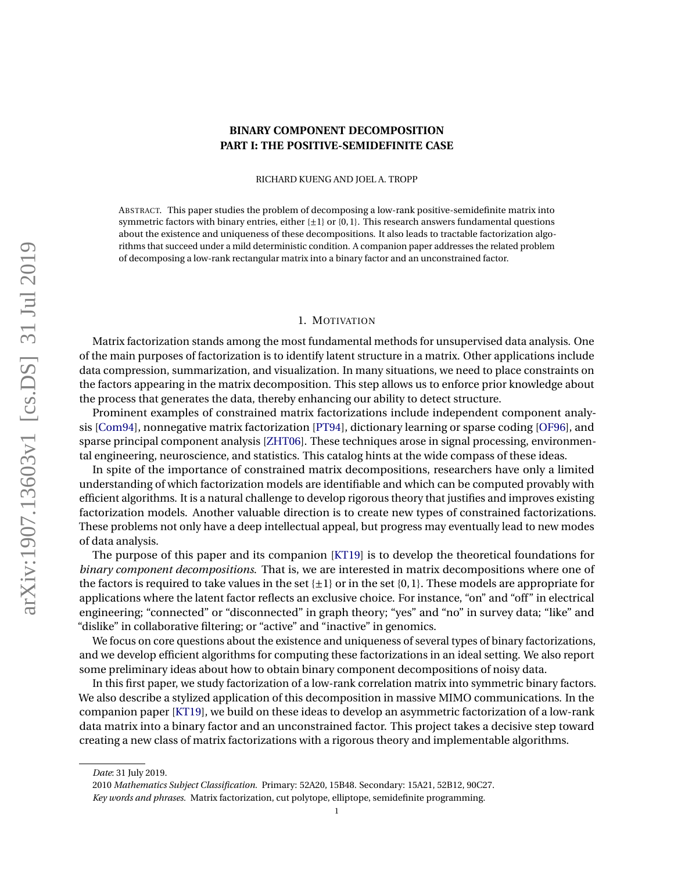# **BINARY COMPONENT DECOMPOSITION PART I: THE POSITIVE-SEMIDEFINITE CASE**

RICHARD KUENG AND JOEL A. TROPP

<span id="page-0-0"></span>ABSTRACT. This paper studies the problem of decomposing a low-rank positive-semidefinite matrix into symmetric factors with binary entries, either  $\{\pm 1\}$  or  $\{0,1\}$ . This research answers fundamental questions about the existence and uniqueness of these decompositions. It also leads to tractable factorization algorithms that succeed under a mild deterministic condition. A companion paper addresses the related problem of decomposing a low-rank rectangular matrix into a binary factor and an unconstrained factor.

### 1. MOTIVATION

Matrix factorization stands among the most fundamental methods for unsupervised data analysis. One of the main purposes of factorization is to identify latent structure in a matrix. Other applications include data compression, summarization, and visualization. In many situations, we need to place constraints on the factors appearing in the matrix decomposition. This step allows us to enforce prior knowledge about the process that generates the data, thereby enhancing our ability to detect structure.

Prominent examples of constrained matrix factorizations include independent component analysis [\[Com94\]](#page-23-0), nonnegative matrix factorization [\[PT94\]](#page-23-1), dictionary learning or sparse coding [\[OF96\]](#page-23-2), and sparse principal component analysis [\[ZHT06\]](#page-24-0). These techniques arose in signal processing, environmental engineering, neuroscience, and statistics. This catalog hints at the wide compass of these ideas.

In spite of the importance of constrained matrix decompositions, researchers have only a limited understanding of which factorization models are identifiable and which can be computed provably with efficient algorithms. It is a natural challenge to develop rigorous theory that justifies and improves existing factorization models. Another valuable direction is to create new types of constrained factorizations. These problems not only have a deep intellectual appeal, but progress may eventually lead to new modes of data analysis.

The purpose of this paper and its companion [\[KT19\]](#page-23-3) is to develop the theoretical foundations for *binary component decompositions*. That is, we are interested in matrix decompositions where one of the factors is required to take values in the set  $\{\pm 1\}$  or in the set  $\{0,1\}$ . These models are appropriate for applications where the latent factor reflects an exclusive choice. For instance, "on" and "off" in electrical engineering; "connected" or "disconnected" in graph theory; "yes" and "no" in survey data; "like" and "dislike" in collaborative filtering; or "active" and "inactive" in genomics.

We focus on core questions about the existence and uniqueness of several types of binary factorizations, and we develop efficient algorithms for computing these factorizations in an ideal setting. We also report some preliminary ideas about how to obtain binary component decompositions of noisy data.

In this first paper, we study factorization of a low-rank correlation matrix into symmetric binary factors. We also describe a stylized application of this decomposition in massive MIMO communications. In the companion paper [\[KT19\]](#page-23-3), we build on these ideas to develop an asymmetric factorization of a low-rank data matrix into a binary factor and an unconstrained factor. This project takes a decisive step toward creating a new class of matrix factorizations with a rigorous theory and implementable algorithms.

*Date*: 31 July 2019.

<sup>2010</sup> *Mathematics Subject Classification.* Primary: 52A20, 15B48. Secondary: 15A21, 52B12, 90C27.

*Key words and phrases.* Matrix factorization, cut polytope, elliptope, semidefinite programming.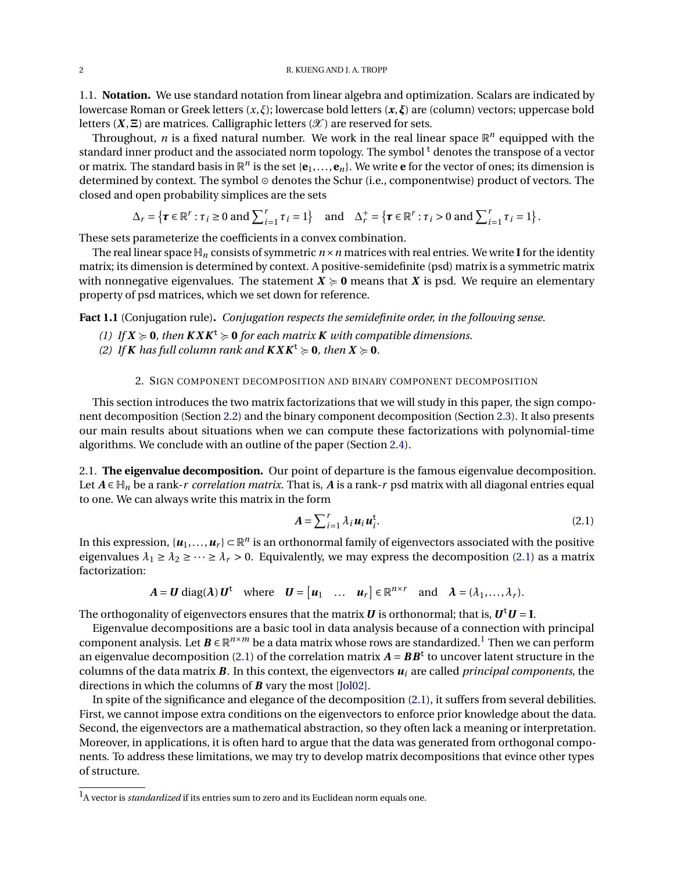1.1. **Notation.** We use standard notation from linear algebra and optimization. Scalars are indicated by lowercase Roman or Greek letters (*x*,*ξ*); lowercase bold letters (*x*,*ξ*) are (column) vectors; uppercase bold letters  $(X, \Xi)$  are matrices. Calligraphic letters  $(X)$  are reserved for sets.

Throughout, *n* is a fixed natural number. We work in the real linear space  $\mathbb{R}^n$  equipped with the standard inner product and the associated norm topology. The symbol<sup>t</sup> denotes the transpose of a vector or matrix. The standard basis in  $\mathbb{R}^n$  is the set { $e_1,...,e_n$ }. We write  $e$  for the vector of ones; its dimension is determined by context. The symbol  $\odot$  denotes the Schur (i.e., componentwise) product of vectors. The closed and open probability simplices are the sets

$$
\Delta_r = \left\{ \boldsymbol{\tau} \in \mathbb{R}^r : \tau_i \ge 0 \text{ and } \sum_{i=1}^r \tau_i = 1 \right\} \text{ and } \Delta_r^+ = \left\{ \boldsymbol{\tau} \in \mathbb{R}^r : \tau_i > 0 \text{ and } \sum_{i=1}^r \tau_i = 1 \right\}.
$$

These sets parameterize the coefficients in a convex combination.

The real linear space  $\mathbb{H}_n$  consists of symmetric  $n \times n$  matrices with real entries. We write **I** for the identity matrix; its dimension is determined by context. A positive-semidefinite (psd) matrix is a symmetric matrix with nonnegative eigenvalues. The statement  $X \ge 0$  means that X is psd. We require an elementary property of psd matrices, which we set down for reference.

<span id="page-1-1"></span>**Fact 1.1** (Conjugation rule)**.** *Conjugation respects the semidefinite order, in the following sense.*

- *(1) If*  $X \ge 0$ *, then*  $K X K^t \ge 0$  *for each matrix K with compatible dimensions.*
- *(2) If K has full column rank and*  $K X K^t \geq 0$ *, then*  $X \geq 0$ *.*

## 2. SIGN COMPONENT DECOMPOSITION AND BINARY COMPONENT DECOMPOSITION

This section introduces the two matrix factorizations that we will study in this paper, the sign component decomposition (Section [2.2\)](#page-2-0) and the binary component decomposition (Section [2.3\)](#page-3-0). It also presents our main results about situations when we can compute these factorizations with polynomial-time algorithms. We conclude with an outline of the paper (Section [2.4\)](#page-4-0).

2.1. **The eigenvalue decomposition.** Our point of departure is the famous eigenvalue decomposition. Let  $A \in \mathbb{H}_n$  be a rank-*r* correlation matrix. That is, A is a rank-*r* psd matrix with all diagonal entries equal to one. We can always write this matrix in the form

<span id="page-1-0"></span>
$$
A = \sum_{i=1}^{r} \lambda_i \mathbf{u}_i \mathbf{u}_i^{\mathsf{t}}.
$$
 (2.1)

In this expression,  $\{u_1,\ldots,u_r\}\subset\mathbb{R}^n$  is an orthonormal family of eigenvectors associated with the positive eigenvalues  $\lambda_1 \geq \lambda_2 \geq \cdots \geq \lambda_r > 0$ . Equivalently, we may express the decomposition [\(2.1\)](#page-1-0) as a matrix factorization:

$$
A = U \operatorname{diag}(\lambda) U^{\dagger} \quad \text{where} \quad U = [u_1 \quad \dots \quad u_r] \in \mathbb{R}^{n \times r} \quad \text{and} \quad \lambda = (\lambda_1, \dots, \lambda_r).
$$

The orthogonality of eigenvectors ensures that the matrix  $\bm{U}$  is orthonormal; that is,  $\bm{U}^\mathrm{t}\bm{U}$  = **I**.

Eigenvalue decompositions are a basic tool in data analysis because of a connection with principal component analysis. Let  $\mathbf{B} \in \mathbb{R}^{n \times m}$  be a data matrix whose rows are standardized.<sup>[1](#page-0-0)</sup> Then we can perform an eigenvalue decomposition [\(2.1\)](#page-1-0) of the correlation matrix  $A = BB<sup>t</sup>$  to uncover latent structure in the columns of the data matrix *B*. In this context, the eigenvectors *u<sup>i</sup>* are called *principal components*, the directions in which the columns of *B* vary the most [\[Jol02\]](#page-23-4).

In spite of the significance and elegance of the decomposition [\(2.1\)](#page-1-0), it suffers from several debilities. First, we cannot impose extra conditions on the eigenvectors to enforce prior knowledge about the data. Second, the eigenvectors are a mathematical abstraction, so they often lack a meaning or interpretation. Moreover, in applications, it is often hard to argue that the data was generated from orthogonal components. To address these limitations, we may try to develop matrix decompositions that evince other types of structure.

<sup>1</sup>A vector is *standardized* if its entries sum to zero and its Euclidean norm equals one.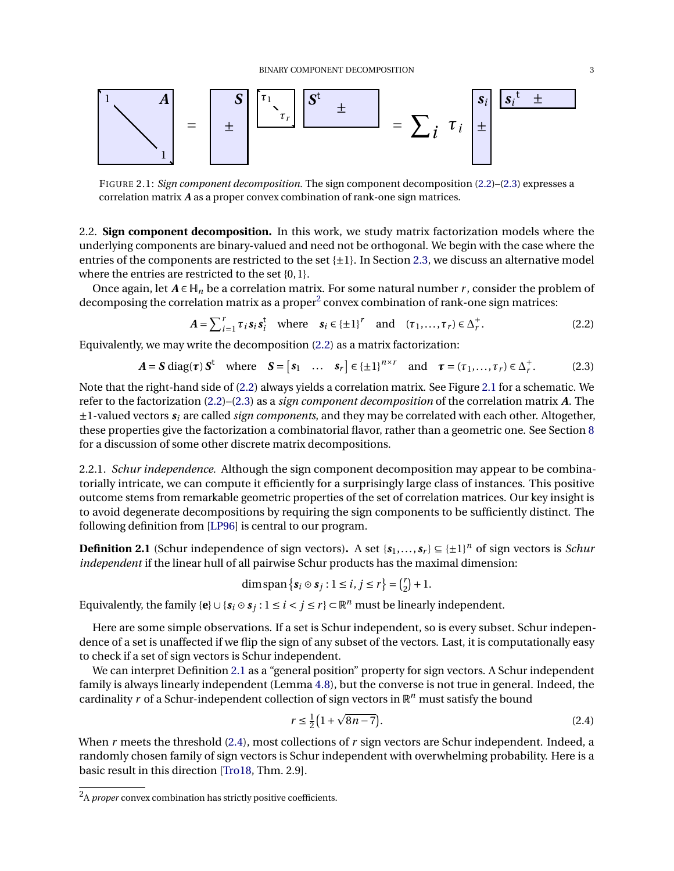<span id="page-2-3"></span>

FIGURE 2.1: *Sign component decomposition.* The sign component decomposition [\(2.2\)](#page-2-1)–[\(2.3\)](#page-2-2) expresses a correlation matrix *A* as a proper convex combination of rank-one sign matrices.

<span id="page-2-0"></span>2.2. **Sign component decomposition.** In this work, we study matrix factorization models where the underlying components are binary-valued and need not be orthogonal. We begin with the case where the entries of the components are restricted to the set  $\{\pm 1\}$ . In Section [2.3,](#page-3-0) we discuss an alternative model where the entries are restricted to the set {0, 1}.

Once again, let  $A \in \mathbb{H}_n$  be a correlation matrix. For some natural number *r*, consider the problem of decomposing the correlation matrix as a proper $^2$  $^2$  convex combination of rank-one sign matrices:

<span id="page-2-2"></span><span id="page-2-1"></span>
$$
A = \sum_{i=1}^{r} \tau_i s_i s_i^t \quad \text{where} \quad s_i \in \{\pm 1\}^r \quad \text{and} \quad (\tau_1, \dots, \tau_r) \in \Delta_r^+.
$$
 (2.2)

Equivalently, we may write the decomposition [\(2.2\)](#page-2-1) as a matrix factorization:

$$
A = S \operatorname{diag}(\tau) S^{\dagger} \quad \text{where} \quad S = \begin{bmatrix} s_1 & \dots & s_r \end{bmatrix} \in \{\pm 1\}^{n \times r} \quad \text{and} \quad \tau = (\tau_1, \dots, \tau_r) \in \Delta_r^+.
$$
 (2.3)

Note that the right-hand side of [\(2.2\)](#page-2-1) always yields a correlation matrix. See Figure [2.1](#page-2-3) for a schematic. We refer to the factorization [\(2.2\)](#page-2-1)–[\(2.3\)](#page-2-2) as a *sign component decomposition* of the correlation matrix *A*. The ±1-valued vectors *s<sup>i</sup>* are called *sign components*, and they may be correlated with each other. Altogether, these properties give the factorization a combinatorial flavor, rather than a geometric one. See Section [8](#page-18-0) for a discussion of some other discrete matrix decompositions.

2.2.1. *Schur independence.* Although the sign component decomposition may appear to be combinatorially intricate, we can compute it efficiently for a surprisingly large class of instances. This positive outcome stems from remarkable geometric properties of the set of correlation matrices. Our key insight is to avoid degenerate decompositions by requiring the sign components to be sufficiently distinct. The following definition from [\[LP96\]](#page-23-5) is central to our program.

<span id="page-2-4"></span>**Definition 2.1** (Schur independence of sign vectors). A set  $\{s_1, \ldots, s_r\} \subseteq {\{\pm 1\}}^n$  of sign vectors is *Schur independent* if the linear hull of all pairwise Schur products has the maximal dimension:

$$
\dim \operatorname{span} \{ \mathbf{s}_i \odot \mathbf{s}_j : 1 \le i, j \le r \} = \binom{r}{2} + 1.
$$

Equivalently, the family { $\mathbf{e}$ }  $\cup$  { $\mathbf{s}_i \circ \mathbf{s}_j$  : 1 ≤ *i* < *j* ≤ *r*} ⊂  $\mathbb{R}^n$  must be linearly independent.

Here are some simple observations. If a set is Schur independent, so is every subset. Schur independence of a set is unaffected if we flip the sign of any subset of the vectors. Last, it is computationally easy to check if a set of sign vectors is Schur independent.

We can interpret Definition [2.1](#page-2-4) as a "general position" property for sign vectors. A Schur independent family is always linearly independent (Lemma [4.8\)](#page-11-0), but the converse is not true in general. Indeed, the cardinality r of a Schur-independent collection of sign vectors in  $\mathbb{R}^n$  must satisfy the bound  $\overline{a}$ 

<span id="page-2-5"></span>
$$
r \le \frac{1}{2} \left( 1 + \sqrt{8n - 7} \right). \tag{2.4}
$$

When *r* meets the threshold [\(2.4\)](#page-2-5), most collections of *r* sign vectors are Schur independent. Indeed, a randomly chosen family of sign vectors is Schur independent with overwhelming probability. Here is a basic result in this direction [\[Tro18,](#page-24-1) Thm. 2.9].

<sup>2</sup>A *proper* convex combination has strictly positive coefficients.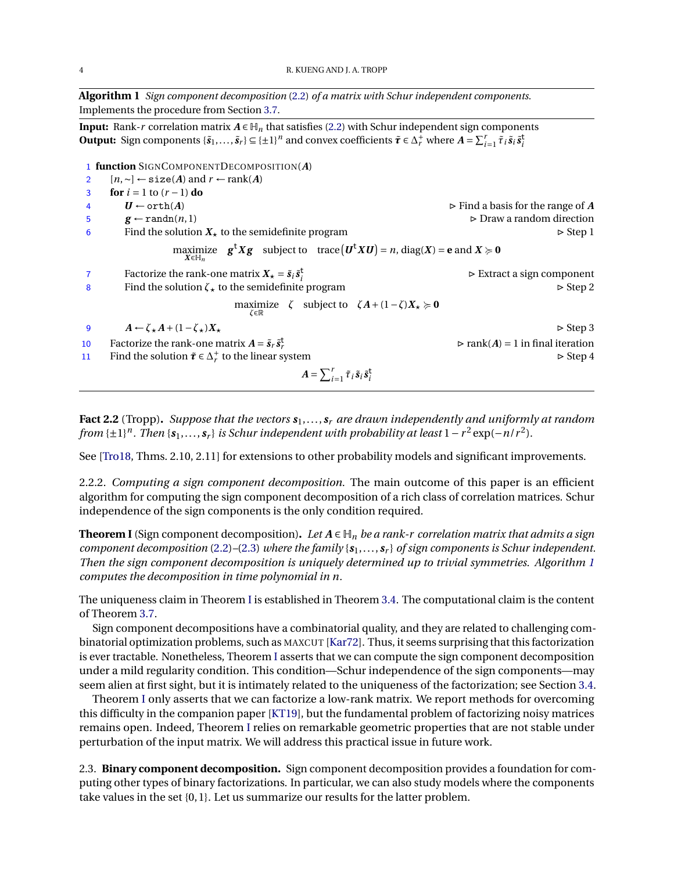<span id="page-3-1"></span>**Algorithm 1** *Sign component decomposition* [\(2.2\)](#page-2-1) *of a matrix with Schur independent components.* Implements the procedure from Section [3.7.](#page-7-0)

**Input:** Rank-*r* correlation matrix  $A \in H_n$  that satisfies [\(2.2\)](#page-2-1) with Schur independent sign components **Output:** Sign components  $\{\tilde{s}_1,\ldots,\tilde{s}_r\} \subseteq \{\pm 1\}^n$  and convex coefficients  $\tilde{\tau} \in \Delta_r^+$  where  $A = \sum_{i=1}^r \tilde{\tau}_i \tilde{s}_i \tilde{s}_i^+$ 

1 **function** SIGNCOMPONENTDECOMPOSITION(*A*) <sup>2</sup> [*n*,∼] ← size(*A*) and *r* ← rank(*A*) 3 **for** *i* = 1 to (*r* −1) **do** 4  $U \leftarrow \text{orth}(A)$   $\triangleright$  Find a basis for the range of *A* 5 **g**  $\leftarrow$  randn(*n*, 1) . Draw a random direction 6 Find the solution  $X_{\star}$  to the semidefinite program  $\triangleright$  Step 1  $\max_{X \in \mathbb{H}_n}$   $\mathbf{g}^{\mathsf{t}} X \mathbf{g}$  subject to  $\text{trace}(\mathbf{U}^{\mathsf{t}} X \mathbf{U}) = n, \text{diag}(X) = \mathbf{e} \text{ and } X \succcurlyeq \mathbf{0}$ 7 Factorize the rank-one matrix  $X_{\star} = \tilde{s}_i \tilde{s}_i^{\text{t}}$  $\triangleright$  Extract a sign component 8 Find the solution  $\zeta_{\star}$  to the semidefinite program  $\blacktriangleright$  Step 2  $\max_{\zeta \in \mathbb{R}}$  *ζ* subject to  $\zeta A + (1 - \zeta)X_{\star} \succcurlyeq 0$ 9  $A \leftarrow \zeta_{\star} A + (1 - \zeta_{\star}) X_{\star}$  . Step 3 10 Factorize the rank-one matrix  $A = \tilde{s}_r \tilde{s}_r^t$  $\rhd$  rank(*A*) = 1 in final iteration 11 Find the solution  $\tilde{\tau} \in \Delta_r^+$  to the linear system  $\triangleright$  Step 4  $A = \sum_{i=1}^r \tilde{\tau}_i \tilde{s}_i \tilde{s}_i^{\text{t}}$ 

<span id="page-3-3"></span>**Fact 2.2** (Tropp). Suppose that the vectors  $s_1, \ldots, s_r$  are drawn independently and uniformly at random *from* {±1}<sup>n</sup>. Then { $s_1, \ldots, s_r$ } *is Schur independent with probability at least* 1 − *r*<sup>2</sup> exp(−*n*/*r*<sup>2</sup>).

See [\[Tro18,](#page-24-1) Thms. 2.10, 2.11] for extensions to other probability models and significant improvements.

2.2.2. *Computing a sign component decomposition.* The main outcome of this paper is an efficient algorithm for computing the sign component decomposition of a rich class of correlation matrices. Schur independence of the sign components is the only condition required.

<span id="page-3-2"></span>**Theorem I** (Sign component decomposition). Let  $A ∈ H_n$  be a rank-r correlation matrix that admits a sign *component decomposition* [\(2.2\)](#page-2-1)*–*[\(2.3\)](#page-2-2) *where the family* {*s*1,..., *s<sup>r</sup>* } *of sign components is Schur independent. Then the sign component decomposition is uniquely determined up to trivial symmetries. Algorithm [1](#page-3-1) computes the decomposition in time polynomial in n.*

The uniqueness claim in Theorem [I](#page-3-2) is established in Theorem [3.4.](#page-6-0) The computational claim is the content of Theorem [3.7.](#page-9-0)

Sign component decompositions have a combinatorial quality, and they are related to challenging combinatorial optimization problems, such as MAXCUT [\[Kar72\]](#page-23-6). Thus, it seems surprising that this factorization is ever tractable. Nonetheless, Theorem [I](#page-3-2) asserts that we can compute the sign component decomposition under a mild regularity condition. This condition—Schur independence of the sign components—may seem alien at first sight, but it is intimately related to the uniqueness of the factorization; see Section [3.4.](#page-6-1)

Theorem [I](#page-3-2) only asserts that we can factorize a low-rank matrix. We report methods for overcoming this difficulty in the companion paper [\[KT19\]](#page-23-3), but the fundamental problem of factorizing noisy matrices remains open. Indeed, Theorem [I](#page-3-2) relies on remarkable geometric properties that are not stable under perturbation of the input matrix. We will address this practical issue in future work.

<span id="page-3-0"></span>2.3. **Binary component decomposition.** Sign component decomposition provides a foundation for computing other types of binary factorizations. In particular, we can also study models where the components take values in the set {0, 1}. Let us summarize our results for the latter problem.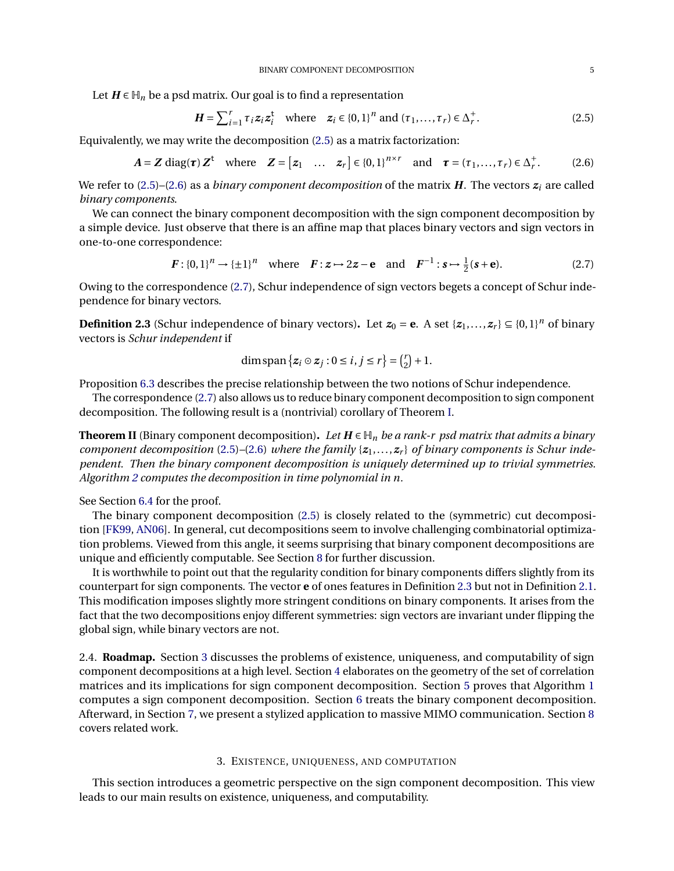Let  $H \in \mathbb{H}_n$  be a psd matrix. Our goal is to find a representation

<span id="page-4-2"></span><span id="page-4-1"></span>
$$
\boldsymbol{H} = \sum_{i=1}^{r} \tau_i \boldsymbol{z}_i \boldsymbol{z}_i^{\mathrm{t}} \quad \text{where} \quad \boldsymbol{z}_i \in \{0,1\}^n \text{ and } (\tau_1, \dots, \tau_r) \in \Delta_r^+.
$$

Equivalently, we may write the decomposition [\(2.5\)](#page-4-1) as a matrix factorization:

$$
A = Z \operatorname{diag}(\tau) Z^{t} \quad \text{where} \quad Z = [z_1 \quad \dots \quad z_r] \in \{0,1\}^{n \times r} \quad \text{and} \quad \tau = (\tau_1, \dots, \tau_r) \in \Delta_r^+.
$$
 (2.6)

We refer to [\(2.5\)](#page-4-1)–[\(2.6\)](#page-4-2) as a *binary component decomposition* of the matrix *H*. The vectors *z<sup>i</sup>* are called *binary components*.

We can connect the binary component decomposition with the sign component decomposition by a simple device. Just observe that there is an affine map that places binary vectors and sign vectors in one-to-one correspondence:

$$
F: \{0,1\}^n \to \{\pm 1\}^n \text{ where } F: z \mapsto 2z - e \text{ and } F^{-1}: s \mapsto \frac{1}{2}(s+e). \tag{2.7}
$$

Owing to the correspondence [\(2.7\)](#page-4-3), Schur independence of sign vectors begets a concept of Schur independence for binary vectors.

<span id="page-4-4"></span>**Definition 2.3** (Schur independence of binary vectors). Let  $z_0 = e$ . A set  $\{z_1, \ldots, z_r\} \subseteq \{0, 1\}^n$  of binary vectors is *Schur independent* if

<span id="page-4-3"></span>
$$
\dim \operatorname{span}\left\{z_i \odot z_j : 0 \leq i, j \leq r\right\} = \binom{r}{2} + 1.
$$

Proposition [6.3](#page-16-0) describes the precise relationship between the two notions of Schur independence.

The correspondence [\(2.7\)](#page-4-3) also allows us to reduce binary component decomposition to sign component decomposition. The following result is a (nontrivial) corollary of Theorem [I.](#page-3-2)

<span id="page-4-6"></span>**Theorem II** (Binary component decomposition). Let  $H \in \mathbb{H}_n$  be a rank-r psd matrix that admits a binary *component decomposition* [\(2.5\)](#page-4-1)–[\(2.6\)](#page-4-2) *where the family* { $z_1$ ,...,  $z_r$ } *of binary components is Schur independent. Then the binary component decomposition is uniquely determined up to trivial symmetries. Algorithm [2](#page-5-0) computes the decomposition in time polynomial in n.*

See Section [6.4](#page-16-1) for the proof.

The binary component decomposition [\(2.5\)](#page-4-1) is closely related to the (symmetric) cut decomposition [\[FK99,](#page-23-7) [AN06\]](#page-22-0). In general, cut decompositions seem to involve challenging combinatorial optimization problems. Viewed from this angle, it seems surprising that binary component decompositions are unique and efficiently computable. See Section [8](#page-18-0) for further discussion.

It is worthwhile to point out that the regularity condition for binary components differs slightly from its counterpart for sign components. The vector **e** of ones features in Definition [2.3](#page-4-4) but not in Definition [2.1.](#page-2-4) This modification imposes slightly more stringent conditions on binary components. It arises from the fact that the two decompositions enjoy different symmetries: sign vectors are invariant under flipping the global sign, while binary vectors are not.

<span id="page-4-0"></span>2.4. **Roadmap.** Section [3](#page-4-5) discusses the problems of existence, uniqueness, and computability of sign component decompositions at a high level. Section [4](#page-9-1) elaborates on the geometry of the set of correlation matrices and its implications for sign component decomposition. Section [5](#page-13-0) proves that Algorithm [1](#page-3-1) computes a sign component decomposition. Section [6](#page-15-0) treats the binary component decomposition. Afterward, in Section [7,](#page-17-0) we present a stylized application to massive MIMO communication. Section [8](#page-18-0) covers related work.

# 3. EXISTENCE, UNIQUENESS, AND COMPUTATION

<span id="page-4-5"></span>This section introduces a geometric perspective on the sign component decomposition. This view leads to our main results on existence, uniqueness, and computability.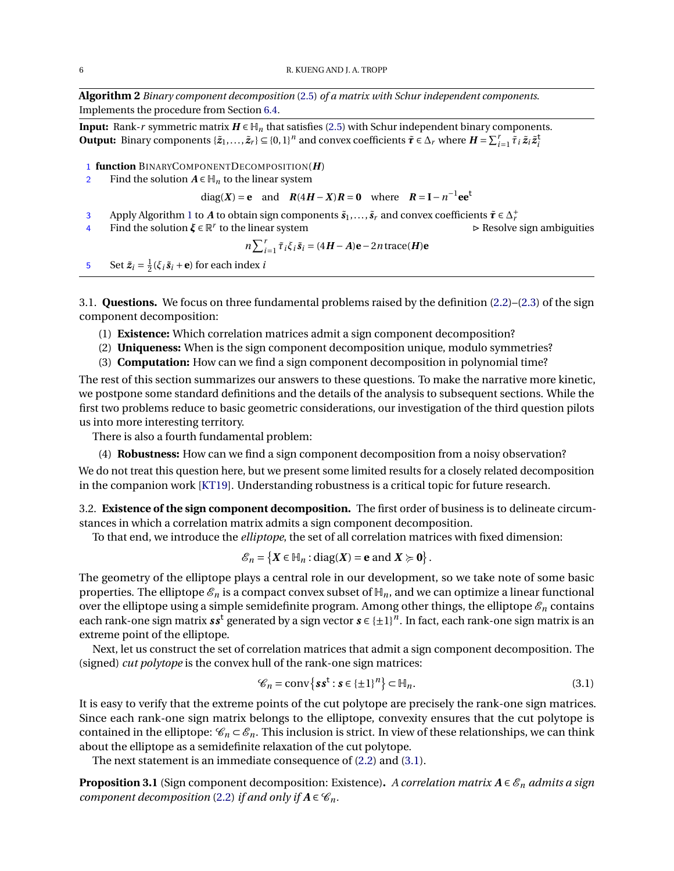<span id="page-5-0"></span>**Algorithm 2** *Binary component decomposition* [\(2.5\)](#page-4-1) *of a matrix with Schur independent components*. Implements the procedure from Section [6.4.](#page-16-1)

**Input:** Rank-*r* symmetric matrix  $H \in H_n$  that satisfies [\(2.5\)](#page-4-1) with Schur independent binary components. **Output:** Binary components  $\{\tilde{z}_1,\ldots,\tilde{z}_r\} \subseteq \{0,1\}^n$  and convex coefficients  $\tilde{\tau} \in \Delta_r$  where  $H = \sum_{i=1}^r \tilde{\tau}_i \tilde{z}_i \tilde{z}_i^{\dagger}$ 

## 1 **function** BINARYCOMPONENTDECOMPOSITION(*H*)

2 Find the solution  $A \in \mathbb{H}_n$  to the linear system

diag(*X*) = **e** and  $R(4H - X)R = 0$  where  $R = I - n^{-1}$ **ee**<sup>t</sup>

- 3 Apply Algorithm [1](#page-3-1) to *A* to obtain sign components  $\tilde{s}_1, \ldots, \tilde{s}_r$  and convex coefficients  $\tilde{\boldsymbol{\tau}} \in \Delta_r^+$
- <sup>4</sup> Find the solution *ξ* ∈ R *r*

 $\triangleright$  Resolve sign ambiguities

$$
n\sum_{i=1}^{r} \tilde{\tau}_i \xi_i \tilde{\mathbf{s}}_i = (4\mathbf{H} - \mathbf{A})\mathbf{e} - 2n \operatorname{trace}(\mathbf{H})\mathbf{e}
$$

5 Set  $\tilde{z}_i = \frac{1}{2}(\xi_i \tilde{s}_i + \mathbf{e})$  for each index *i* 

3.1. **Questions.** We focus on three fundamental problems raised by the definition [\(2.2\)](#page-2-1)–[\(2.3\)](#page-2-2) of the sign component decomposition:

- (1) **Existence:** Which correlation matrices admit a sign component decomposition?
- (2) **Uniqueness:** When is the sign component decomposition unique, modulo symmetries?
- (3) **Computation:** How can we find a sign component decomposition in polynomial time?

The rest of this section summarizes our answers to these questions. To make the narrative more kinetic, we postpone some standard definitions and the details of the analysis to subsequent sections. While the first two problems reduce to basic geometric considerations, our investigation of the third question pilots us into more interesting territory.

There is also a fourth fundamental problem:

(4) **Robustness:** How can we find a sign component decomposition from a noisy observation?

We do not treat this question here, but we present some limited results for a closely related decomposition in the companion work [\[KT19\]](#page-23-3). Understanding robustness is a critical topic for future research.

3.2. **Existence of the sign component decomposition.** The first order of business is to delineate circumstances in which a correlation matrix admits a sign component decomposition.

To that end, we introduce the *elliptope*, the set of all correlation matrices with fixed dimension:

$$
\mathcal{E}_n = \left\{ X \in \mathbb{H}_n : \text{diag}(X) = \mathbf{e} \text{ and } X \succcurlyeq \mathbf{0} \right\}.
$$

The geometry of the elliptope plays a central role in our development, so we take note of some basic properties. The elliptope  $\mathcal{E}_n$  is a compact convex subset of  $\mathbb{H}_n$ , and we can optimize a linear functional over the elliptope using a simple semidefinite program. Among other things, the elliptope  $\mathscr{E}_n$  contains each rank-one sign matrix  $ss^{\sf t}$  generated by a sign vector  $s \in \{\pm 1\}^n.$  In fact, each rank-one sign matrix is an extreme point of the elliptope.

Next, let us construct the set of correlation matrices that admit a sign component decomposition. The (signed) *cut polytope* is the convex hull of the rank-one sign matrices:

<span id="page-5-1"></span>
$$
\mathcal{C}_n = \text{conv}\{\mathbf{s}\mathbf{s}^{\mathbf{t}} : \mathbf{s} \in \{\pm 1\}^n\} \subset \mathbb{H}_n. \tag{3.1}
$$

It is easy to verify that the extreme points of the cut polytope are precisely the rank-one sign matrices. Since each rank-one sign matrix belongs to the elliptope, convexity ensures that the cut polytope is contained in the elliptope:  $\mathcal{C}_n \subset \mathcal{E}_n$ . This inclusion is strict. In view of these relationships, we can think about the elliptope as a semidefinite relaxation of the cut polytope.

The next statement is an immediate consequence of [\(2.2\)](#page-2-1) and [\(3.1\)](#page-5-1).

<span id="page-5-2"></span>**Proposition 3.1** (Sign component decomposition: Existence). *A correlation matrix*  $A \in \mathcal{E}_n$  *admits a sign component decomposition* [\(2.2\)](#page-2-1) *if and only if*  $A \in \mathcal{C}_n$ *.*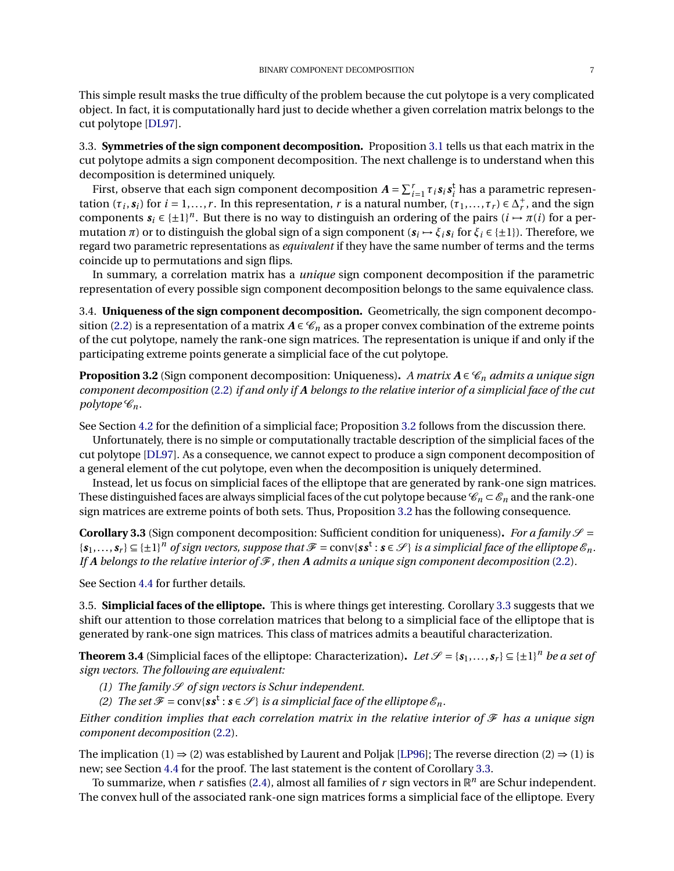This simple result masks the true difficulty of the problem because the cut polytope is a very complicated object. In fact, it is computationally hard just to decide whether a given correlation matrix belongs to the cut polytope [\[DL97\]](#page-23-8).

3.3. **Symmetries of the sign component decomposition.** Proposition [3.1](#page-5-2) tells us that each matrix in the cut polytope admits a sign component decomposition. The next challenge is to understand when this decomposition is determined uniquely.

First, observe that each sign component decomposition  $A = \sum_{i=1}^r \tau_i s_i s_i^t$  has a parametric representation  $(\tau_i, s_i)$  for  $i = 1, ..., r$ . In this representation, *r* is a natural number,  $(\tau_1, ..., \tau_r) \in \Delta_r^+$  $^+_r$ , and the sign components  $s_i \in \{\pm 1\}^n$ . But there is no way to distinguish an ordering of the pairs  $(i \rightarrow \pi(i)$  for a permutation π) or to distinguish the global sign of a sign component ( $s_i$   $\mapsto \xi_i s_i$  for  $\xi_i$  ∈ {±1}). Therefore, we regard two parametric representations as *equivalent* if they have the same number of terms and the terms coincide up to permutations and sign flips.

In summary, a correlation matrix has a *unique* sign component decomposition if the parametric representation of every possible sign component decomposition belongs to the same equivalence class.

<span id="page-6-1"></span>3.4. **Uniqueness of the sign component decomposition.** Geometrically, the sign component decompo-sition [\(2.2\)](#page-2-1) is a representation of a matrix  $A \in \mathcal{C}_n$  as a proper convex combination of the extreme points of the cut polytope, namely the rank-one sign matrices. The representation is unique if and only if the participating extreme points generate a simplicial face of the cut polytope.

<span id="page-6-2"></span>**Proposition 3.2** (Sign component decomposition: Uniqueness). *A matrix*  $A \in \mathcal{C}_n$  *admits a unique sign component decomposition* [\(2.2\)](#page-2-1) *if and only if A belongs to the relative interior of a simplicial face of the cut polytope*  $\mathscr{C}_n$ *.* 

See Section [4.2](#page-10-0) for the definition of a simplicial face; Proposition [3.2](#page-6-2) follows from the discussion there.

Unfortunately, there is no simple or computationally tractable description of the simplicial faces of the cut polytope [\[DL97\]](#page-23-8). As a consequence, we cannot expect to produce a sign component decomposition of a general element of the cut polytope, even when the decomposition is uniquely determined.

Instead, let us focus on simplicial faces of the elliptope that are generated by rank-one sign matrices. These distinguished faces are always simplicial faces of the cut polytope because  $\mathcal{C}_n \subset \mathcal{E}_n$  and the rank-one sign matrices are extreme points of both sets. Thus, Proposition [3.2](#page-6-2) has the following consequence.

<span id="page-6-3"></span>**Corollary 3.3** (Sign component decomposition: Sufficient condition for uniqueness). *For a family*  $\mathcal{S} =$  $\{s_1,\ldots,s_r\} \subseteq \{\pm 1\}^n$  of sign vectors, suppose that  $\mathcal{F} = \text{conv}\{ss^t : s \in \mathcal{S}\}\$ is a simplicial face of the elliptope  $\mathcal{E}_n$ . If *A* belongs to the relative interior of  $\mathcal F$ , then *A* admits a unique sign component decomposition [\(2.2\)](#page-2-1).

See Section [4.4](#page-11-1) for further details.

3.5. **Simplicial faces of the elliptope.** This is where things get interesting. Corollary [3.3](#page-6-3) suggests that we shift our attention to those correlation matrices that belong to a simplicial face of the elliptope that is generated by rank-one sign matrices. This class of matrices admits a beautiful characterization.

<span id="page-6-0"></span>**Theorem 3.4** (Simplicial faces of the elliptope: Characterization). Let  $\mathcal{S} = \{s_1, \ldots, s_r\} \subseteq \{\pm 1\}^n$  be a set of *sign vectors. The following are equivalent:*

- *(1) The family*  $\mathcal S$  *of sign vectors is Schur independent.*
- (2) *The set*  $\mathcal{F} = \text{conv}\{\textbf{s}\textbf{s}^t : \textbf{s} \in \mathcal{S}\}\)$  *is a simplicial face of the elliptope*  $\mathcal{E}_n$ *.*

*Either condition implies that each correlation matrix in the relative interior of*  $\mathcal F$  *has a unique sign component decomposition* [\(2.2\)](#page-2-1)*.*

The implication (1)  $\Rightarrow$  (2) was established by Laurent and Poljak [\[LP96\]](#page-23-5); The reverse direction (2)  $\Rightarrow$  (1) is new; see Section [4.4](#page-11-1) for the proof. The last statement is the content of Corollary [3.3.](#page-6-3)

To summarize, when  $r$  satisfies [\(2.4\)](#page-2-5), almost all families of  $r$  sign vectors in  $\mathbb{R}^n$  are Schur independent. The convex hull of the associated rank-one sign matrices forms a simplicial face of the elliptope. Every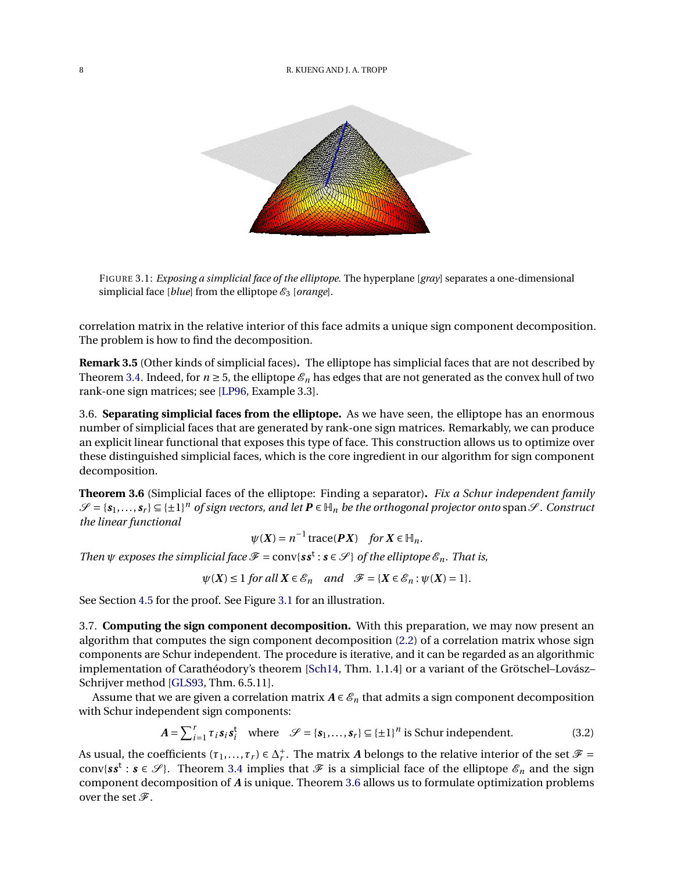<span id="page-7-1"></span>

FIGURE 3.1: *Exposing a simplicial face of the elliptope.* The hyperplane [*gray*] separates a one-dimensional simplicial face [*blue*] from the elliptope  $\mathcal{E}_3$  [*orange*].

correlation matrix in the relative interior of this face admits a unique sign component decomposition. The problem is how to find the decomposition.

**Remark 3.5** (Other kinds of simplicial faces)**.** The elliptope has simplicial faces that are not described by Theorem [3.4.](#page-6-0) Indeed, for  $n \ge 5$ , the elliptope  $\mathcal{E}_n$  has edges that are not generated as the convex hull of two rank-one sign matrices; see [\[LP96,](#page-23-5) Example 3.3].

3.6. **Separating simplicial faces from the elliptope.** As we have seen, the elliptope has an enormous number of simplicial faces that are generated by rank-one sign matrices. Remarkably, we can produce an explicit linear functional that exposes this type of face. This construction allows us to optimize over these distinguished simplicial faces, which is the core ingredient in our algorithm for sign component decomposition.

<span id="page-7-2"></span>**Theorem 3.6** (Simplicial faces of the elliptope: Finding a separator)**.** *Fix a Schur independent family*  $\mathscr{S} = \{\mathbf{s}_1,\ldots,\mathbf{s}_r\} \subseteq \{\pm 1\}^n$  of sign vectors, and let  $\mathbf{P} \in \mathbb{H}_n$  be the orthogonal projector onto span  $\mathscr{S}$ . Construct *the linear functional*

<span id="page-7-3"></span>
$$
\psi(X) = n^{-1} \operatorname{trace}(\mathbf{P}X) \quad \text{for } X \in \mathbb{H}_n.
$$

*Then*  $\psi$  *exposes the simplicial face*  $\mathcal{F} = \text{conv}\{s\}$ :  $s \in \mathcal{S}$  *of the elliptope*  $\mathcal{E}_n$ *. That is,* 

 $\psi(X) \leq 1$  *for all*  $X \in \mathcal{E}_n$  *and*  $\mathcal{F} = \{X \in \mathcal{E}_n : \psi(X) = 1\}.$ 

See Section [4.5](#page-12-0) for the proof. See Figure [3.1](#page-7-1) for an illustration.

<span id="page-7-0"></span>3.7. **Computing the sign component decomposition.** With this preparation, we may now present an algorithm that computes the sign component decomposition [\(2.2\)](#page-2-1) of a correlation matrix whose sign components are Schur independent. The procedure is iterative, and it can be regarded as an algorithmic implementation of Carathéodory's theorem [\[Sch14,](#page-24-2) Thm. 1.1.4] or a variant of the Grötschel–Lovász– Schrijver method [\[GLS93,](#page-23-9) Thm. 6.5.11].

Assume that we are given a correlation matrix  $A \in \mathcal{E}_n$  that admits a sign component decomposition with Schur independent sign components:

$$
A = \sum_{i=1}^{r} \tau_i s_i s_i^t \quad \text{where} \quad \mathcal{S} = \{s_1, \dots, s_r\} \subseteq \{\pm 1\}^n \text{ is Schur independent.}
$$
 (3.2)

As usual, the coefficients  $(\tau_1, \ldots, \tau_r) \in \Delta_r^+$ <sup>*r*</sup>. The matrix *A* belongs to the relative interior of the set  $\mathcal{F}$  = conv{ $s s^t : s \in \mathscr{S}$ }. Theorem [3.4](#page-6-0) implies that  $\mathscr{F}$  is a simplicial face of the elliptope  $\mathscr{E}_n$  and the sign component decomposition of *A* is unique. Theorem [3.6](#page-7-2) allows us to formulate optimization problems over the set  $\mathscr{F}$ .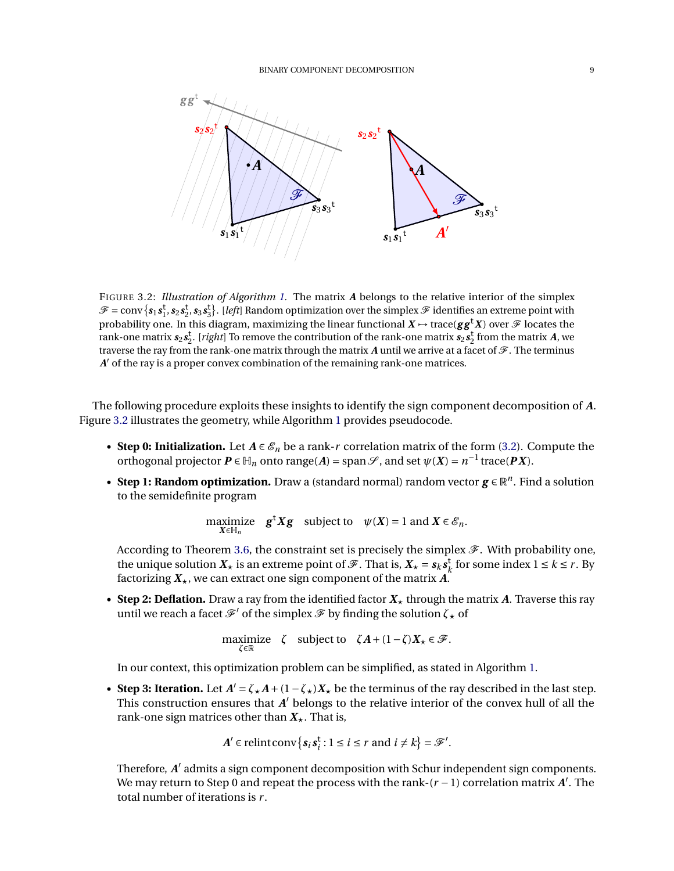<span id="page-8-0"></span>

FIGURE 3.2: *Illustration of Algorithm [1.](#page-3-1)* The matrix *A* belongs to the relative interior of the simplex  $\mathscr{F} = \text{conv}\left\{s_1s_1^t, s_2s_2^t, s_3s_3^t\right\}$ . [*left*] Random optimization over the simplex  $\mathscr F$  identifies an extreme point with probability one. In this diagram, maximizing the linear functional  $X \to \text{trace}(gg^{\dagger}X)$  over  $\mathscr{F}$  locates the rank-one matrix  $s_2 s_2^t$ . [*right*] To remove the contribution of the rank-one matrix  $s_2 s_2^t$  from the matrix *A*, we traverse the ray from the rank-one matrix through the matrix A until we arrive at a facet of  $\mathscr F$ . The terminus *A*<sup> $\prime$ </sup> of the ray is a proper convex combination of the remaining rank-one matrices.

The following procedure exploits these insights to identify the sign component decomposition of *A*. Figure [3.2](#page-8-0) illustrates the geometry, while Algorithm [1](#page-3-1) provides pseudocode.

- **Step 0: Initialization.** Let  $A \in \mathcal{E}_n$  be a rank-*r* correlation matrix of the form [\(3.2\)](#page-7-3). Compute the orthogonal projector  $P \in \mathbb{H}_n$  onto range(*A*) = span $\mathscr{S}$ , and set  $\psi(X) = n^{-1}$  trace( $PX$ ).
- Step 1: Random optimization. Draw a (standard normal) random vector  $g \in \mathbb{R}^n$ . Find a solution to the semidefinite program

$$
\underset{X\in\mathbb{H}_n}{\text{maximize}} \quad \mathbf{g}^{\mathsf{t}} X \mathbf{g} \quad \text{subject to} \quad \psi(X) = 1 \text{ and } X \in \mathcal{E}_n.
$$

According to Theorem [3.6,](#page-7-2) the constraint set is precisely the simplex  $\mathcal F$ . With probability one, the unique solution  $X_\star$  is an extreme point of  $\mathscr{F}$ . That is,  $X_\star = s_k s_k^\dagger$  $\frac{1}{k}$  for some index  $1 \leq k \leq r$ . By factorizing  $X_{\star}$ , we can extract one sign component of the matrix A.

• **Step 2: Deflation.** Draw a ray from the identified factor  $X_{\star}$  through the matrix A. Traverse this ray until we reach a facet  $\mathscr{F}'$  of the simplex  $\mathscr{F}$  by finding the solution  $\zeta_{\star}$  of

$$
\underset{\zeta \in \mathbb{R}}{\text{maximize}} \quad \zeta \quad \text{subject to} \quad \zeta A + (1 - \zeta) X_{\star} \in \mathcal{F}.
$$

In our context, this optimization problem can be simplified, as stated in Algorithm [1.](#page-3-1)

• **Step 3: Iteration.** Let  $A' = \zeta_* A + (1 - \zeta_*)X_*$  be the terminus of the ray described in the last step. This construction ensures that  $A'$  belongs to the relative interior of the convex hull of all the rank-one sign matrices other than  $X_{\star}$ . That is,

$$
A' \in \text{relintconv}\{s_i s_i^t : 1 \le i \le r \text{ and } i \ne k\} = \mathcal{F}'.
$$

Therefore, A' admits a sign component decomposition with Schur independent sign components. We may return to Step 0 and repeat the process with the rank-(*r* −1) correlation matrix *A* 0 . The total number of iterations is *r* .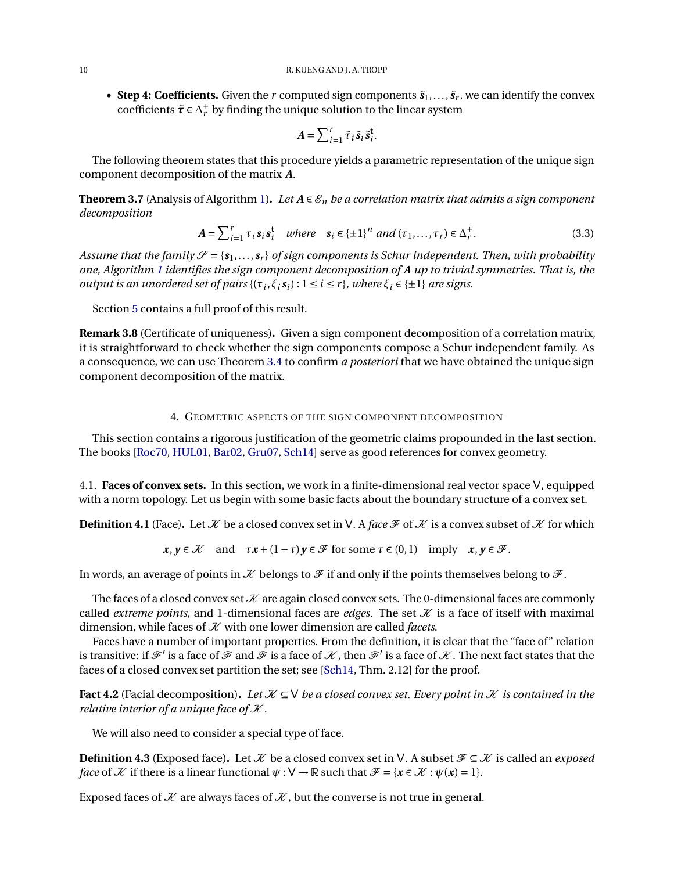• Step 4: Coefficients. Given the *r* computed sign components  $\tilde{s}_1, \ldots, \tilde{s}_r$ , we can identify the convex coefficients  $\tilde{\tau} \in \Delta_r^+$  by finding the unique solution to the linear system

<span id="page-9-4"></span>
$$
A = \sum_{i=1}^r \tilde{\tau}_i \tilde{s}_i \tilde{s}_i^{\mathsf{t}}.
$$

The following theorem states that this procedure yields a parametric representation of the unique sign component decomposition of the matrix *A*.

<span id="page-9-0"></span>**Theorem 3.7** (Analysis of Algorithm [1\)](#page-3-1). Let  $A \in \mathcal{E}_n$  be a correlation matrix that admits a sign component *decomposition*

$$
A = \sum_{i=1}^{r} \tau_i s_i s_i^{\dagger} \quad where \quad s_i \in \{\pm 1\}^n \ and \ (\tau_1, \dots, \tau_r) \in \Delta_r^+.
$$

*Assume that the family*  $\mathscr{S} = \{s_1, \ldots, s_r\}$  *of sign components is Schur independent. Then, with probability one, Algorithm [1](#page-3-1) identifies the sign component decomposition of A up to trivial symmetries. That is, the output is an unordered set of pairs*  $\{(\tau_i, \xi_i s_i) : 1 \le i \le r\}$ *, where*  $\xi_i \in \{\pm 1\}$  *are signs.* 

Section [5](#page-13-0) contains a full proof of this result.

**Remark 3.8** (Certificate of uniqueness)**.** Given a sign component decomposition of a correlation matrix, it is straightforward to check whether the sign components compose a Schur independent family. As a consequence, we can use Theorem [3.4](#page-6-0) to confirm *a posteriori* that we have obtained the unique sign component decomposition of the matrix.

## 4. GEOMETRIC ASPECTS OF THE SIGN COMPONENT DECOMPOSITION

<span id="page-9-1"></span>This section contains a rigorous justification of the geometric claims propounded in the last section. The books [\[Roc70,](#page-24-3) [HUL01,](#page-23-10) [Bar02,](#page-22-1) [Gru07,](#page-23-11) [Sch14\]](#page-24-2) serve as good references for convex geometry.

4.1. **Faces of convex sets.** In this section, we work in a finite-dimensional real vector space V, equipped with a norm topology. Let us begin with some basic facts about the boundary structure of a convex set.

<span id="page-9-3"></span>**Definition 4.1** (Face). Let  $\mathcal X$  be a closed convex set in V. A *face*  $\mathcal F$  of  $\mathcal X$  is a convex subset of  $\mathcal X$  for which

$$
x, y \in \mathcal{X}
$$
 and  $\tau x + (1 - \tau) y \in \mathcal{F}$  for some  $\tau \in (0, 1)$  imply  $x, y \in \mathcal{F}$ .

In words, an average of points in  $K$  belongs to  $\mathcal F$  if and only if the points themselves belong to  $\mathcal F$ .

The faces of a closed convex set  $K$  are again closed convex sets. The 0-dimensional faces are commonly called *extreme points*, and 1-dimensional faces are *edges*. The set  $K$  is a face of itself with maximal dimension, while faces of  $K$  with one lower dimension are called *facets*.

Faces have a number of important properties. From the definition, it is clear that the "face of" relation is transitive: if  $\mathscr F'$  is a face of  $\tilde{\mathscr F}$  and  $\tilde{\mathscr F}$  is a face of  $\mathscr K$ , then  $\mathscr F'$  is a face of  $\mathscr K$  . The next fact states that the faces of a closed convex set partition the set; see [\[Sch14,](#page-24-2) Thm. 2.12] for the proof.

<span id="page-9-2"></span>**Fact 4.2** (Facial decomposition). Let  $K \subseteq V$  *be a closed convex set. Every point in* X *is contained in the relative interior of a unique face of*  $K$ .

We will also need to consider a special type of face.

**Definition 4.3** (Exposed face). Let  $\mathcal{K}$  be a closed convex set in V. A subset  $\mathcal{F} \subseteq \mathcal{K}$  is called an *exposed face* of X if there is a linear functional  $\psi : V \to \mathbb{R}$  such that  $\mathcal{F} = \{x \in \mathcal{X} : \psi(x) = 1\}.$ 

Exposed faces of  $K$  are always faces of  $K$ , but the converse is not true in general.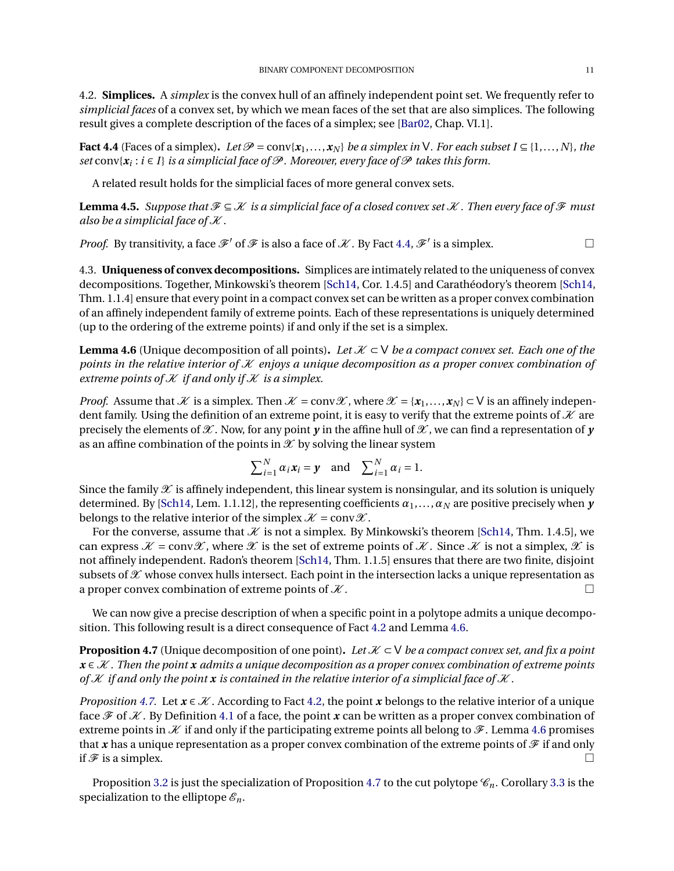<span id="page-10-0"></span>4.2. **Simplices.** A *simplex* is the convex hull of an affinely independent point set. We frequently refer to *simplicial faces* of a convex set, by which we mean faces of the set that are also simplices. The following result gives a complete description of the faces of a simplex; see [\[Bar02,](#page-22-1) Chap. VI.1].

<span id="page-10-1"></span>**Fact 4.4** (Faces of a simplex). Let  $\mathcal{P} = \text{conv}\{x_1, \ldots, x_N\}$  be a simplex in V. For each subset  $I \subseteq \{1, \ldots, N\}$ , the  $\textit{set} \text{ conv}\{\mathbf{x}_i : i \in I\}$  *is a simplicial face of*  $\mathcal P$  *. Moreover, every face of*  $\mathcal P$  *takes this form.* 

A related result holds for the simplicial faces of more general convex sets.

**Lemma 4.5.** *Suppose that*  $\mathcal{F} \subseteq \mathcal{K}$  *is a simplicial face of a closed convex set*  $\mathcal{K}$ *. Then every face of*  $\mathcal{F}$  *must also be a simplicial face of*  $K$ .

*Proof.* By transitivity, a face  $\mathscr{F}'$  of  $\mathscr{F}$  is also a face of  $\mathscr{K}$  . By Fact [4.4,](#page-10-1)  $\mathscr{F}'$  is a simplex.

4.3. **Uniqueness of convex decompositions.** Simplices are intimately related to the uniqueness of convex decompositions. Together, Minkowski's theorem [\[Sch14,](#page-24-2) Cor. 1.4.5] and Carathéodory's theorem [\[Sch14,](#page-24-2) Thm. 1.1.4] ensure that every point in a compact convex set can be written as a proper convex combination of an affinely independent family of extreme points. Each of these representations is uniquely determined (up to the ordering of the extreme points) if and only if the set is a simplex.

<span id="page-10-2"></span>**Lemma 4.6** (Unique decomposition of all points). Let  $K \subset V$  *be a compact convex set. Each one of the points in the relative interior of* K *enjoys a unique decomposition as a proper convex combination of extreme points of*  $K$  *if and only if*  $K$  *is a simplex.* 

*Proof.* Assume that X is a simplex. Then  $\mathcal{X} = \text{conv}\mathcal{X}$ , where  $\mathcal{X} = \{x_1,...,x_N\} \subset V$  is an affinely independent family. Using the definition of an extreme point, it is easy to verify that the extreme points of  $K$  are precisely the elements of  $\mathcal X$ . Now, for any point  $\gamma$  in the affine hull of  $\mathcal X$ , we can find a representation of  $\gamma$ as an affine combination of the points in  $\mathcal X$  by solving the linear system

$$
\sum_{i=1}^{N} \alpha_i \mathbf{x}_i = \mathbf{y} \text{ and } \sum_{i=1}^{N} \alpha_i = 1.
$$

Since the family  $\mathscr X$  is affinely independent, this linear system is nonsingular, and its solution is uniquely determined. By [\[Sch14,](#page-24-2) Lem. 1.1.12], the representing coefficients  $\alpha_1, \ldots, \alpha_N$  are positive precisely when *y* belongs to the relative interior of the simplex  $K = \text{conv}\mathcal{X}$ .

For the converse, assume that  $K$  is not a simplex. By Minkowski's theorem [\[Sch14,](#page-24-2) Thm. 1.4.5], we can express  $\mathcal{X} = \text{conv}\mathcal{X}$ , where  $\mathcal{X}$  is the set of extreme points of  $\mathcal{X}$ . Since  $\mathcal{X}$  is not a simplex,  $\mathcal{X}$  is not affinely independent. Radon's theorem [\[Sch14,](#page-24-2) Thm. 1.1.5] ensures that there are two finite, disjoint subsets of  $\mathscr X$  whose convex hulls intersect. Each point in the intersection lacks a unique representation as a proper convex combination of extreme points of  $\mathcal{X}$ .

We can now give a precise description of when a specific point in a polytope admits a unique decomposition. This following result is a direct consequence of Fact [4.2](#page-9-2) and Lemma [4.6.](#page-10-2)

<span id="page-10-3"></span>**Proposition 4.7** (Unique decomposition of one point). Let  $K \subset V$  *be a compact convex set, and fix a point x* ∈ K *. Then the point x admits a unique decomposition as a proper convex combination of extreme points* of  $K$  *if and only the point*  $x$  *is contained in the relative interior of a simplicial face of*  $K$ *.* 

*Proposition* [4.7.](#page-10-3) Let  $\mathbf{x} \in \mathcal{X}$ . According to Fact [4.2,](#page-9-2) the point  $\mathbf{x}$  belongs to the relative interior of a unique face  $\mathcal F$  of  $\mathcal K$ . By Definition [4.1](#page-9-3) of a face, the point x can be written as a proper convex combination of extreme points in  $K$  if and only if the participating extreme points all belong to  $\mathscr F$ . Lemma [4.6](#page-10-2) promises that x has a unique representation as a proper convex combination of the extreme points of  $\mathcal F$  if and only if  $\mathcal F$  is a simplex.

Proposition [3.2](#page-6-2) is just the specialization of Proposition [4.7](#page-10-3) to the cut polytope  $\mathcal{C}_n$ . Corollary [3.3](#page-6-3) is the specialization to the elliptope  $\mathcal{E}_n$ .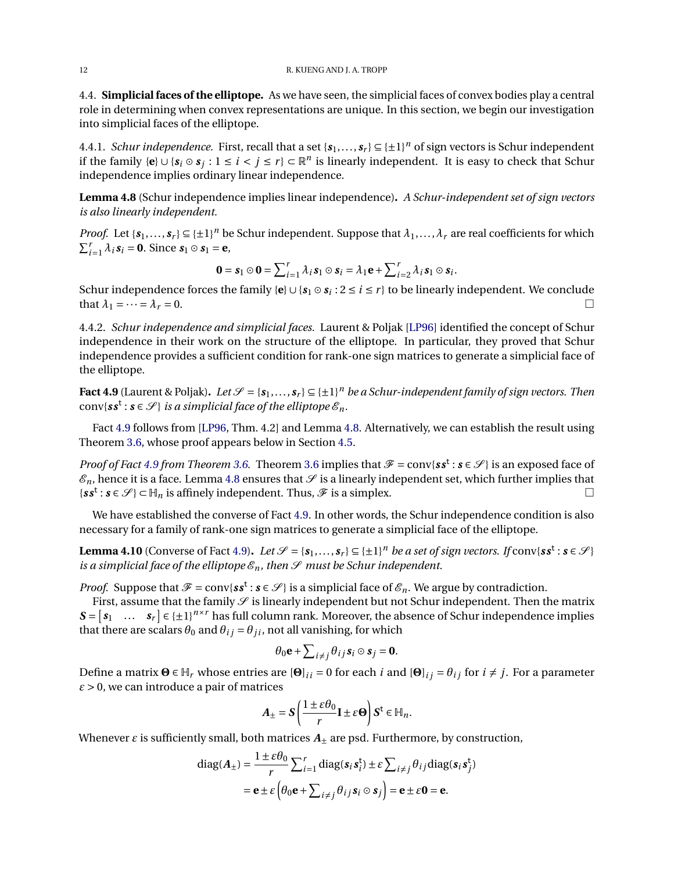<span id="page-11-1"></span>4.4. **Simplicial faces of the elliptope.** As we have seen, the simplicial faces of convex bodies play a central role in determining when convex representations are unique. In this section, we begin our investigation into simplicial faces of the elliptope.

4.4.1. *Schur independence.* First, recall that a set  $\{s_1,...,s_r\} \subseteq {\pm 1\}^n$  of sign vectors is Schur independent if the family  ${e} \cup {s_i \circ s_j : 1 \le i < j \le r}$  ⊂  $\mathbb{R}^n$  is linearly independent. It is easy to check that Schur independence implies ordinary linear independence.

<span id="page-11-0"></span>**Lemma 4.8** (Schur independence implies linear independence)**.** *A Schur-independent set of sign vectors is also linearly independent.*

*Proof.* Let  $\{s_1,\ldots,s_r\} \subseteq \{\pm 1\}^n$  be Schur independent. Suppose that  $\lambda_1,\ldots,\lambda_r$  are real coefficients for which  $\sum_{i=1}^{r} \lambda_i$ **s**<sub>*i*</sub> = **0**. Since **s**<sub>1</sub>  $\odot$  **s**<sub>1</sub> = **e**,

$$
\mathbf{0} = \mathbf{s}_1 \odot \mathbf{0} = \sum_{i=1}^r \lambda_i \, \mathbf{s}_1 \odot \mathbf{s}_i = \lambda_1 \mathbf{e} + \sum_{i=2}^r \lambda_i \, \mathbf{s}_1 \odot \mathbf{s}_i.
$$

Schur independence forces the family {**e**}∪{*s*<sup>1</sup> ¯ *s<sup>i</sup>* : 2 ≤ *i* ≤ *r* } to be linearly independent. We conclude that  $\lambda_1 = \cdots = \lambda_r = 0$ .

4.4.2. *Schur independence and simplicial faces.* Laurent & Poljak [\[LP96\]](#page-23-5) identified the concept of Schur independence in their work on the structure of the elliptope. In particular, they proved that Schur independence provides a sufficient condition for rank-one sign matrices to generate a simplicial face of the elliptope.

<span id="page-11-2"></span>**Fact 4.9** (Laurent & Poljak). Let  $\mathscr{S} = \{s_1, \ldots, s_r\} \subseteq \{\pm 1\}^n$  be a Schur-independent family of sign vectors. Then  $\text{conv}\{\textbf{\textit{s}}\textbf{\textit{s}}^{\textbf{t}}:\textbf{\textit{s}}\in\mathscr{S}\}\text{ is a simplicial face of the elliptope }\mathscr{E}_n.$ 

Fact [4.9](#page-11-2) follows from [\[LP96,](#page-23-5) Thm. 4.2] and Lemma [4.8.](#page-11-0) Alternatively, we can establish the result using Theorem [3.6,](#page-7-2) whose proof appears below in Section [4.5.](#page-12-0)

*Proof of Fact* [4.9](#page-11-2) *from Theorem* [3.6.](#page-7-2) Theorem [3.6](#page-7-2) implies that  $\mathcal{F} = \text{conv}\{s\mathbf{s}^t : \mathbf{s} \in \mathcal{S}\}\)$  is an exposed face of  $\mathscr{E}_n$ , hence it is a face. Lemma [4.8](#page-11-0) ensures that  $\mathscr S$  is a linearly independent set, which further implies that  $\{ss^{\mathbf{t}}: s \in \mathcal{S}\} \subset \mathbb{H}_n$  is affinely independent. Thus,  $\mathcal{F}$  is a simplex.

We have established the converse of Fact [4.9.](#page-11-2) In other words, the Schur independence condition is also necessary for a family of rank-one sign matrices to generate a simplicial face of the elliptope.

<span id="page-11-3"></span>**Lemma 4.10** (Converse of Fact [4.9\)](#page-11-2). *Let*  $\mathcal{S} = \{s_1, \ldots, s_r\} \subseteq \{\pm 1\}^n$  *be a set of sign vectors. If* conv{ $ss^t : s \in \mathcal{S}$ } *is a simplicial face of the elliptope*  $\mathcal{E}_n$ *, then*  $\mathcal{S}$  *must be Schur independent.* 

*Proof.* Suppose that  $\mathcal{F} = \text{conv}\{s\cdot s^t : s \in \mathcal{S}\}\$ is a simplicial face of  $\mathcal{E}_n$ . We argue by contradiction.

First, assume that the family  $\mathscr S$  is linearly independent but not Schur independent. Then the matrix  $S = \begin{bmatrix} s_1 & \dots & s_r \end{bmatrix} \in \{\pm 1\}^{n \times r}$  has full column rank. Moreover, the absence of Schur independence implies that there are scalars  $\theta_0$  and  $\theta_{ij} = \theta_{ji}$ , not all vanishing, for which

$$
\theta_0 \mathbf{e} + \sum_{i \neq j} \theta_{ij} s_i \odot s_j = \mathbf{0}.
$$

Define a matrix  $\Theta$  ∈  $\mathbb{H}_r$  whose entries are  $[\Theta]_{ii} = 0$  for each *i* and  $[\Theta]_{ii} = \theta_{ii}$  for  $i \neq j$ . For a parameter *ε* > 0, we can introduce a pair of matrices

$$
A_{\pm} = S\left(\frac{1 \pm \varepsilon \theta_0}{r} \mathbf{I} \pm \varepsilon \Theta\right) S^{\dagger} \in \mathbb{H}_n.
$$

Whenever  $\varepsilon$  is sufficiently small, both matrices  $A_{\pm}$  are psd. Furthermore, by construction,

diag
$$
(A_{\pm}) = \frac{1 \pm \varepsilon \theta_0}{r} \sum_{i=1}^r \text{diag}(s_i s_i^t) \pm \varepsilon \sum_{i \neq j} \theta_{ij} \text{diag}(s_i s_j^t)
$$
  
=  $\mathbf{e} \pm \varepsilon \left( \theta_0 \mathbf{e} + \sum_{i \neq j} \theta_{ij} s_i \odot s_j \right) = \mathbf{e} \pm \varepsilon \mathbf{0} = \mathbf{e}.$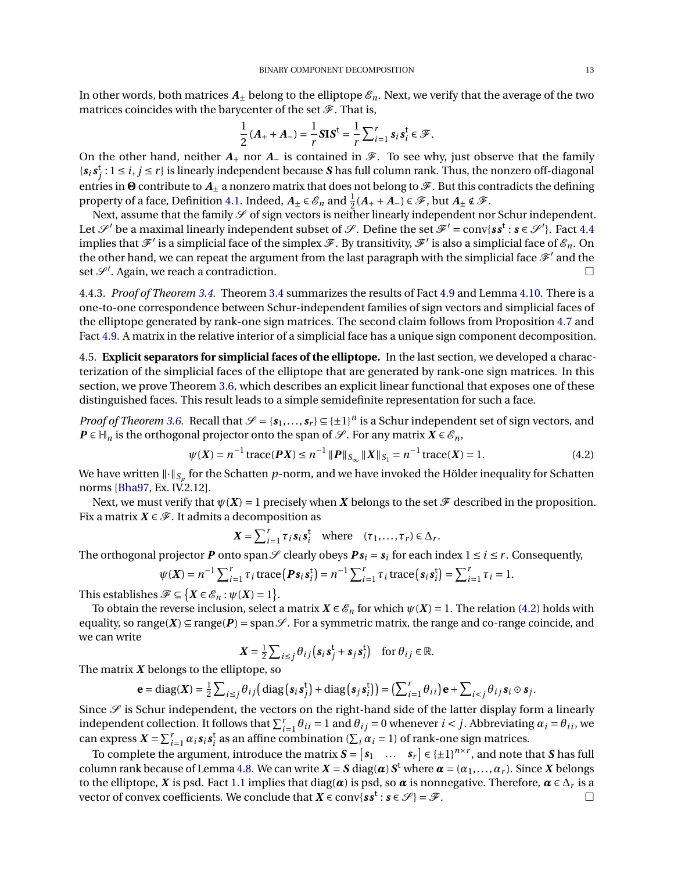In other words, both matrices  $A_{\pm}$  belong to the elliptope  $\mathscr{E}_n$ . Next, we verify that the average of the two matrices coincides with the barycenter of the set  $\mathcal F$ . That is,

$$
\frac{1}{2}(A_+ + A_-) = \frac{1}{r}SIS^{\dagger} = \frac{1}{r}\sum_{i=1}^r s_i s_i^{\dagger} \in \mathcal{F}.
$$

On the other hand, neither  $A_+$  nor  $A_-$  is contained in  $\mathscr{F}$ . To see why, just observe that the family  $\{s_i s_j^t : 1 \le i, j \le r\}$  is linearly independent because *S* has full column rank. Thus, the nonzero off-diagonal entries in <sup>●</sup> contribute to  $A_{\pm}$  a nonzero matrix that does not belong to  $\mathcal{F}$ . But this contradicts the defining property of a face, Definition [4.1.](#page-9-3) Indeed,  $A_{\pm} \in \mathscr{E}_n$  and  $\frac{1}{2}(A_+ + A_-) \in \mathscr{F}$ , but  $A_{\pm} \notin \mathscr{F}$ .

Next, assume that the family  $\mathscr S$  of sign vectors is neither linearly independent nor Schur independent. Let  $\mathscr{S}'$  be a maximal linearly independent subset of  $\mathscr{S}$ . Define the set  $\mathscr{F}' = conv\{ss^t : s \in \mathscr{S}'\}$ . Fact [4.4](#page-10-1) implies that  $\mathscr{F}'$  is a simplicial face of the simplex  $\mathscr{F}.$  By transitivity,  $\mathscr{F}'$  is also a simplicial face of  $\mathscr{E}_n.$  On the other hand, we can repeat the argument from the last paragraph with the simplicial face  $\mathcal{F}'$  and the set  $\mathcal{S}'$ . Again, we reach a contradiction.

4.4.3. *Proof of Theorem [3.4.](#page-6-0)* Theorem [3.4](#page-6-0) summarizes the results of Fact [4.9](#page-11-2) and Lemma [4.10.](#page-11-3) There is a one-to-one correspondence between Schur-independent families of sign vectors and simplicial faces of the elliptope generated by rank-one sign matrices. The second claim follows from Proposition [4.7](#page-10-3) and Fact [4.9.](#page-11-2) A matrix in the relative interior of a simplicial face has a unique sign component decomposition.

<span id="page-12-0"></span>4.5. **Explicit separators for simplicial faces of the elliptope.** In the last section, we developed a characterization of the simplicial faces of the elliptope that are generated by rank-one sign matrices. In this section, we prove Theorem [3.6,](#page-7-2) which describes an explicit linear functional that exposes one of these distinguished faces. This result leads to a simple semidefinite representation for such a face.

*Proof of Theorem* [3.6.](#page-7-2) Recall that  $\mathcal{S} = \{s_1, \ldots, s_r\} \subseteq \{\pm 1\}^n$  is a Schur independent set of sign vectors, and *P* ∈  $\mathbb{H}_n$  is the orthogonal projector onto the span of  $\mathcal{S}$ . For any matrix  $X \in \mathcal{E}_n$ ,

$$
\psi(X) = n^{-1} \operatorname{trace}(\mathbf{P}X) \le n^{-1} \| \mathbf{P} \|_{S_{\infty}} \| X \|_{S_1} = n^{-1} \operatorname{trace}(X) = 1.
$$
 (4.2)

We have written  $\left\| \cdot \right\|_{S_p}$  for the Schatten  $p$ -norm, and we have invoked the Hölder inequality for Schatten norms [\[Bha97,](#page-23-12) Ex. IV.2.12].

Next, we must verify that  $\psi(X) = 1$  precisely when *X* belongs to the set  $\mathcal F$  described in the proposition. Fix a matrix  $X \in \mathcal{F}$ . It admits a decomposition as

<span id="page-12-1"></span>
$$
X = \sum_{i=1}^r \tau_i s_i s_i^{\mathbf{t}} \quad \text{where} \quad (\tau_1, \dots, \tau_r) \in \Delta_r.
$$

The orthogonal projector  $P$  onto span  $\mathscr S$  clearly obeys  $Ps_i = s_i$  for each index  $1 \le i \le r$  . Consequently,

$$
\psi(\boldsymbol{X}) = n^{-1} \sum_{i=1}^r \tau_i \operatorname{trace} \left( \boldsymbol{P} \boldsymbol{s}_i \boldsymbol{s}_i^{\mathsf{t}} \right) = n^{-1} \sum_{i=1}^r \tau_i \operatorname{trace} \left( \boldsymbol{s}_i \boldsymbol{s}_i^{\mathsf{t}} \right) = \sum_{i=1}^r \tau_i = 1.
$$

This establishes  $\mathscr{F} \subseteq \{X \in \mathscr{E}_n : \psi(X) = 1\}.$ 

To obtain the reverse inclusion, select a matrix  $X \in \mathcal{E}_n$  for which  $\psi(X) = 1$ . The relation [\(4.2\)](#page-12-1) holds with equality, so range( $X$ )  $\subseteq$  range( $P$ ) = span $\mathscr{S}$ . For a symmetric matrix, the range and co-range coincide, and we can write

$$
\mathbf{X} = \frac{1}{2} \sum_{i \leq j} \theta_{ij} \left( \mathbf{s}_i \mathbf{s}_j^{\mathsf{t}} + \mathbf{s}_j \mathbf{s}_i^{\mathsf{t}} \right) \quad \text{for } \theta_{ij} \in \mathbb{R}.
$$

The matrix *X* belongs to the elliptope, so

$$
\mathbf{e} = \text{diag}(\mathbf{X}) = \frac{1}{2} \sum_{i \leq j} \theta_{ij} \big( \text{diag} \big( \mathbf{s}_i \mathbf{s}_j^{\mathsf{t}} \big) + \text{diag} \big( \mathbf{s}_j \mathbf{s}_i^{\mathsf{t}} \big) \big) = \big( \sum_{i=1}^r \theta_{ii} \big) \mathbf{e} + \sum_{i < j} \theta_{ij} \mathbf{s}_i \odot \mathbf{s}_j.
$$

Since  $\mathscr S$  is Schur independent, the vectors on the right-hand side of the latter display form a linearly independent collection. It follows that  $\sum_{i=1}^r \theta_{ii} = 1$  and  $\theta_{ij} = 0$  whenever  $i < j$ . Abbreviating  $\alpha_i = \theta_{ii}$ , we can express  $X = \sum_{i=1}^{r} \alpha_i s_i s_i^t$  as an affine combination ( $\sum_i \alpha_i = 1$ ) of rank-one sign matrices.

To complete the argument, introduce the matrix  $\mathbf{S} = \begin{bmatrix} s_1 & \dots & s_r \end{bmatrix} \in \{\pm 1\}^{n \times r}$ , and note that *S* has full column rank because of Lemma [4.8.](#page-11-0) We can write  $X = S$  diag( $\alpha$ )  $S^t$  where  $\alpha = (\alpha_1, \ldots, \alpha_r)$ . Since  $X$  belongs to the elliptope,  $X$  is psd. Fact [1.1](#page-1-1) implies that diag( $\alpha$ ) is psd, so  $\alpha$  is nonnegative. Therefore,  $\alpha \in \Delta_r$  is a vector of convex coefficients. We conclude that  $X \in \text{conv}\{ss^t : s \in \mathcal{S}\} = \mathcal{F}$ .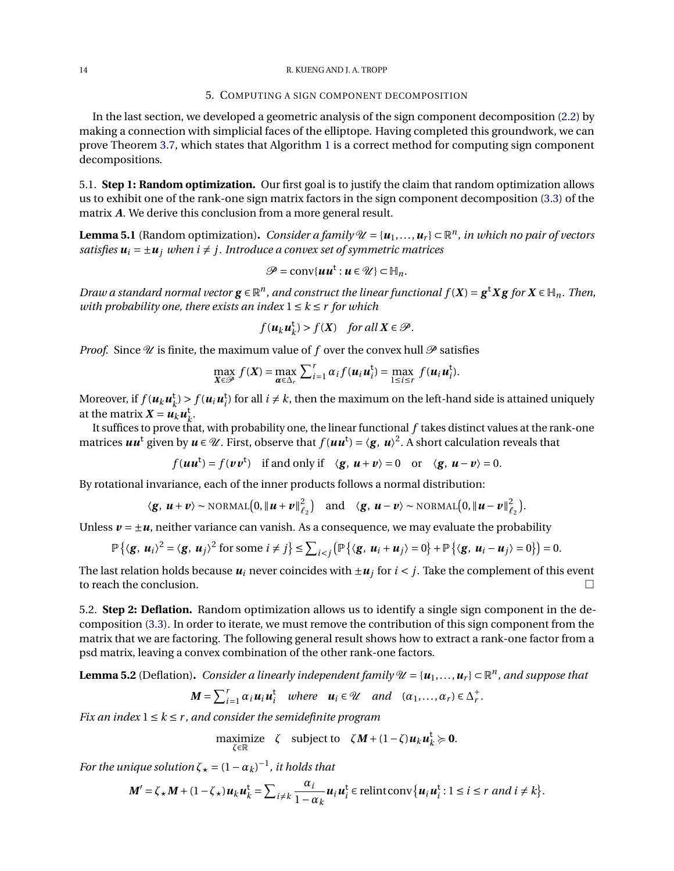## 5. COMPUTING A SIGN COMPONENT DECOMPOSITION

<span id="page-13-0"></span>In the last section, we developed a geometric analysis of the sign component decomposition [\(2.2\)](#page-2-1) by making a connection with simplicial faces of the elliptope. Having completed this groundwork, we can prove Theorem [3.7,](#page-9-0) which states that Algorithm [1](#page-3-1) is a correct method for computing sign component decompositions.

5.1. **Step 1: Random optimization.** Our first goal is to justify the claim that random optimization allows us to exhibit one of the rank-one sign matrix factors in the sign component decomposition [\(3.3\)](#page-9-4) of the matrix *A*. We derive this conclusion from a more general result.

<span id="page-13-1"></span>**Lemma 5.1** (Random optimization). *Consider a family*  $\mathcal{U} = \{u_1, \ldots, u_r\} \subset \mathbb{R}^n$ , *in which no pair of vectors satisfies*  $u_i = \pm u_i$  *when i*  $\neq$  *j. Introduce a convex set of symmetric matrices* 

$$
\mathscr{P}=\text{conv}\{\boldsymbol{uu}^{\mathsf{t}}:\boldsymbol{u}\in\mathscr{U}\}\subset\mathbb{H}_n.
$$

*Draw a standard normal vector*  $g \in \mathbb{R}^n$ , and construct the linear functional  $f(X) = g^t X g$  for  $X \in \mathbb{H}_n$ . Then, *with probability one, there exists an index*  $1 \leq k \leq r$  *for which* 

$$
f(u_ku_k^{\mathsf{t}}) > f(X) \quad \text{for all } X \in \mathcal{P}.
$$

*Proof.* Since  $\mathcal U$  is finite, the maximum value of  $f$  over the convex hull  $\mathcal P$  satisfies

$$
\max_{\mathbf{X}\in\mathcal{P}} f(\mathbf{X}) = \max_{\boldsymbol{\alpha}\in\Delta_r} \sum_{i=1}^r \alpha_i f(\mathbf{u}_i \mathbf{u}_i^{\mathsf{t}}) = \max_{1\leq i\leq r} f(\mathbf{u}_i \mathbf{u}_i^{\mathsf{t}}).
$$

Moreover, if  $f(u_ku_k^{\dagger})$  $h_k^{\text{t}}$  >  $f(u_iu_i^{\text{t}})$  for all  $i \neq k$ , then the maximum on the left-hand side is attained uniquely at the matrix  $\mathbf{X} = \mathbf{u}_k \mathbf{u}_k^{\mathsf{t}}$ *k* .

It suffices to prove that, with probability one, the linear functional *f* takes distinct values at the rank-one matrices  $\bm{u}\bm{u}^{\text{t}}$  given by  $\bm{u}\in\mathscr{U}$ . First, observe that  $f(\bm{u}\bm{u}^{\text{t}})=\langle\bm{g},\,\bm{u}\rangle^2.$  A short calculation reveals that

$$
f(uu^t) = f(vv^t)
$$
 if and only if  $\langle g, u + v \rangle = 0$  or  $\langle g, u - v \rangle = 0$ .

By rotational invariance, each of the inner products follows a normal distribution:

$$
\langle g, u + v \rangle \sim \text{NORMAL}\big(0, \|u + v\|_{\ell_2}^2\big)
$$
 and  $\langle g, u - v \rangle \sim \text{NORMAL}\big(0, \|u - v\|_{\ell_2}^2\big).$ 

Unless  $v = \pm u$ , neither variance can vanish. As a consequence, we may evaluate the probability

$$
\mathbb{P}\left\{\left\langle \mathbf{g},\,\mathbf{u}_i\right\rangle^2=\left\langle \mathbf{g},\,\mathbf{u}_j\right\rangle^2\text{ for some }i\neq j\right\}\leq\sum_{i
$$

The last relation holds because  $u_i$  never coincides with  $\pm u_j$  for  $i < j$ . Take the complement of this event to reach the conclusion.

5.2. **Step 2: Deflation.** Random optimization allows us to identify a single sign component in the decomposition [\(3.3\)](#page-9-4). In order to iterate, we must remove the contribution of this sign component from the matrix that we are factoring. The following general result shows how to extract a rank-one factor from a psd matrix, leaving a convex combination of the other rank-one factors.

<span id="page-13-2"></span>**Lemma 5.2** (Deflation). Consider a linearly independent family  $\mathcal{U} = \{u_1, \ldots, u_r\} \subset \mathbb{R}^n$ , and suppose that

$$
M = \sum_{i=1}^r \alpha_i u_i u_i^{\mathsf{t}} \quad \text{where} \quad u_i \in \mathcal{U} \quad \text{and} \quad (\alpha_1, \dots, \alpha_r) \in \Delta_r^+.
$$

*Fix an index*  $1 \leq k \leq r$ , and consider the semidefinite program

maximize 
$$
\zeta
$$
 subject to  $\zeta M + (1 - \zeta)u_k u_k^{\dagger} \succcurlyeq 0$ .

*For the unique solution*  $\zeta_{\star} = (1 - \alpha_k)^{-1}$ , *it holds that* 

$$
\boldsymbol{M}'=\boldsymbol{\zeta}_{\star}\boldsymbol{M}+(1-\boldsymbol{\zeta}_{\star})\boldsymbol{u}_{k}\boldsymbol{u}_{k}^{\mathrm{t}}=\sum_{i\neq k}\frac{\alpha_{i}}{1-\alpha_{k}}\boldsymbol{u}_{i}\boldsymbol{u}_{i}^{\mathrm{t}}\in\mathrm{relintconv}\{\boldsymbol{u}_{i}\boldsymbol{u}_{i}^{\mathrm{t}}:1\leq i\leq r\ and\ i\neq k\}.
$$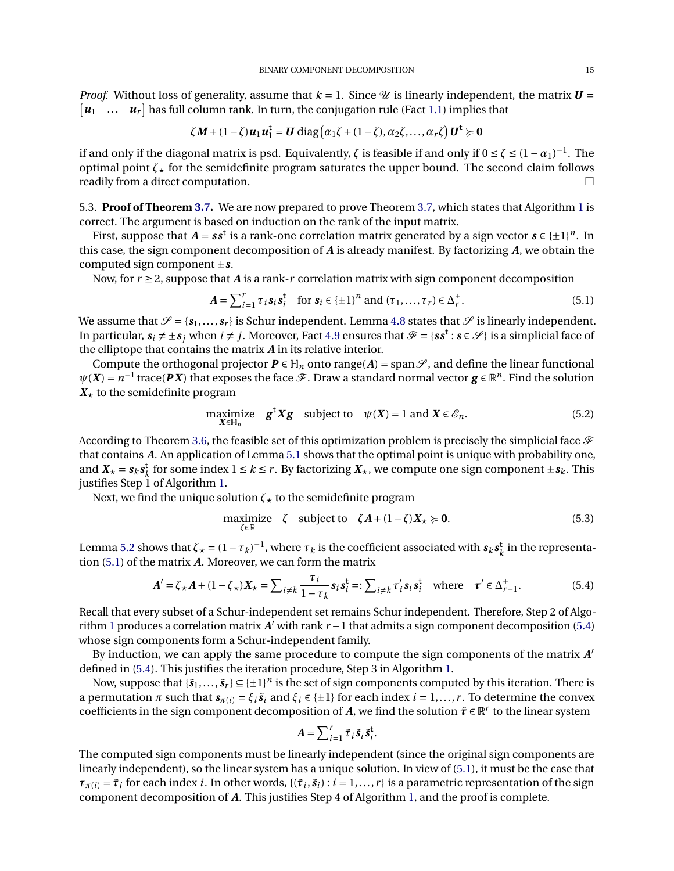*Proof.* Without loss of generality, assume that  $k = 1$ . Since  $\mathcal{U}$  is linearly independent, the matrix  $\mathbf{U} =$  $\begin{bmatrix} u_1 & \dots & u_r \end{bmatrix}$  has full column rank. In turn, the conjugation rule (Fact [1.1\)](#page-1-1) implies that

$$
\zeta M + (1 - \zeta) u_1 u_1^{\mathsf{t}} = \mathbf{U} \operatorname{diag}(\alpha_1 \zeta + (1 - \zeta), \alpha_2 \zeta, \ldots, \alpha_r \zeta) \mathbf{U}^{\mathsf{t}} \succcurlyeq \mathbf{0}
$$

if and only if the diagonal matrix is psd. Equivalently,  $\zeta$  is feasible if and only if  $0 \le \zeta \le (1-\alpha_1)^{-1}$ . The optimal point  $\zeta_{\star}$  for the semidefinite program saturates the upper bound. The second claim follows readily from a direct computation.

5.3. **Proof of Theorem [3.7.](#page-9-0)** We are now prepared to prove Theorem [3.7,](#page-9-0) which states that Algorithm [1](#page-3-1) is correct. The argument is based on induction on the rank of the input matrix.

First, suppose that  $A = s s^t$  is a rank-one correlation matrix generated by a sign vector  $s \in \{\pm 1\}^n$ . In this case, the sign component decomposition of *A* is already manifest. By factorizing *A*, we obtain the computed sign component ±*s*.

Now, for  $r \ge 2$ , suppose that *A* is a rank-*r* correlation matrix with sign component decomposition

<span id="page-14-0"></span>
$$
A = \sum_{i=1}^{r} \tau_i s_i s_i^{\dagger} \quad \text{for } s_i \in \{\pm 1\}^n \text{ and } (\tau_1, \dots, \tau_r) \in \Delta_r^+.
$$
 (5.1)

We assume that  $\mathcal{S} = \{s_1, \ldots, s_r\}$  is Schur independent. Lemma [4.8](#page-11-0) states that  $\mathcal{S}$  is linearly independent. In particular,  $s_i \neq \pm s_j$  when  $i \neq j$ . Moreover, Fact [4.9](#page-11-2) ensures that  $\mathscr{F} = \{ss^\mathsf{t} : s \in \mathscr{S}\}$  is a simplicial face of the elliptope that contains the matrix *A* in its relative interior.

Compute the orthogonal projector  $P \in H_n$  onto range(A) = span $\mathscr{S}$ , and define the linear functional  $\psi(X) = n^{-1}$  trace(*PX*) that exposes the face  $\mathscr F$ . Draw a standard normal vector  $g \in \mathbb R^n$ . Find the solution  $X_{\star}$  to the semidefinite program

<span id="page-14-2"></span>maximize 
$$
\mathbf{g}^{\mathsf{t}} \mathbf{X} \mathbf{g}
$$
 subject to  $\psi(\mathbf{X}) = 1$  and  $\mathbf{X} \in \mathcal{E}_n$ . (5.2)

According to Theorem [3.6,](#page-7-2) the feasible set of this optimization problem is precisely the simplicial face  $\mathscr F$ that contains *A*. An application of Lemma [5.1](#page-13-1) shows that the optimal point is unique with probability one, and  $X_{\star} = s_k s_k^{\rm t}$  $k \text{ for some index } 1 \leq k \leq r$ . By factorizing  $X_{\star}$ , we compute one sign component  $\pm s_k$ . This justifies Step 1 of Algorithm [1.](#page-3-1)

Next, we find the unique solution  $\zeta_{\star}$  to the semidefinite program

<span id="page-14-3"></span>
$$
\underset{\zeta \in \mathbb{R}}{\text{maximize}} \quad \zeta \quad \text{subject to} \quad \zeta A + (1 - \zeta) X_{\star} \succcurlyeq \mathbf{0}. \tag{5.3}
$$

Lemma [5.2](#page-13-2) shows that  $\zeta_* = (1 - \tau_k)^{-1}$ , where  $\tau_k$  is the coefficient associated with  $s_k s_k^{\dagger}$  $\frac{t}{k}$  in the representation [\(5.1\)](#page-14-0) of the matrix *A*. Moreover, we can form the matrix

$$
A' = \zeta_{\star} A + (1 - \zeta_{\star}) X_{\star} = \sum_{i \neq k} \frac{\tau_i}{1 - \tau_k} s_i s_i^{\mathsf{t}} =: \sum_{i \neq k} \tau_i' s_i s_i^{\mathsf{t}} \text{ where } \tau' \in \Delta_{r-1}^+.
$$
 (5.4)

Recall that every subset of a Schur-independent set remains Schur independent. Therefore, Step 2 of Algo-rithm [1](#page-3-1) produces a correlation matrix *A*<sup>*'*</sup> with rank *r* − 1 that admits a sign component decomposition [\(5.4\)](#page-14-1) whose sign components form a Schur-independent family.

By induction, we can apply the same procedure to compute the sign components of the matrix *A* 0 defined in [\(5.4\)](#page-14-1). This justifies the iteration procedure, Step 3 in Algorithm [1.](#page-3-1)

Now, suppose that  $\{\tilde{s}_1,\ldots,\tilde{s}_r\} \subseteq \{\pm 1\}^n$  is the set of sign components computed by this iteration. There is a permutation  $\pi$  such that  $s_{\pi(i)} = \xi_i \tilde{s}_i$  and  $\xi_i \in \{\pm 1\}$  for each index  $i = 1, ..., r$ . To determine the convex coefficients in the sign component decomposition of  $A$ , we find the solution  $\tilde{\pmb{\tau}} \in \mathbb{R}^r$  to the linear system

<span id="page-14-1"></span>
$$
A = \sum_{i=1}^r \tilde{\tau}_i \tilde{s}_i \tilde{s}_i^{\mathsf{t}}.
$$

The computed sign components must be linearly independent (since the original sign components are linearly independent), so the linear system has a unique solution. In view of [\(5.1\)](#page-14-0), it must be the case that  $\tau_{\pi(i)} = \tilde{\tau}_i$  for each index *i*. In other words, {( $\tilde{\tau}_i$ ,  $\tilde{s}_i$ ) :  $i = 1,...,r$ } is a parametric representation of the sign component decomposition of *A*. This justifies Step 4 of Algorithm [1,](#page-3-1) and the proof is complete.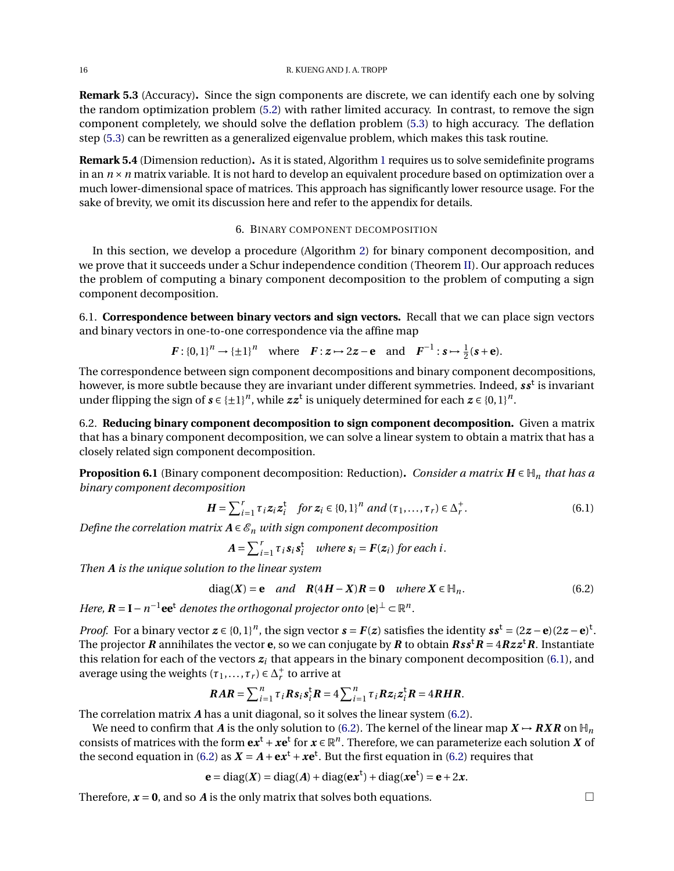**Remark 5.3** (Accuracy)**.** Since the sign components are discrete, we can identify each one by solving the random optimization problem [\(5.2\)](#page-14-2) with rather limited accuracy. In contrast, to remove the sign component completely, we should solve the deflation problem [\(5.3\)](#page-14-3) to high accuracy. The deflation step [\(5.3\)](#page-14-3) can be rewritten as a generalized eigenvalue problem, which makes this task routine.

**Remark 5.4** (Dimension reduction)**.** As it is stated, Algorithm [1](#page-3-1) requires us to solve semidefinite programs in an *n* ×*n* matrix variable. It is not hard to develop an equivalent procedure based on optimization over a much lower-dimensional space of matrices. This approach has significantly lower resource usage. For the sake of brevity, we omit its discussion here and refer to the appendix for details.

# 6. BINARY COMPONENT DECOMPOSITION

<span id="page-15-0"></span>In this section, we develop a procedure (Algorithm [2\)](#page-5-0) for binary component decomposition, and we prove that it succeeds under a Schur independence condition (Theorem [II\)](#page-4-6). Our approach reduces the problem of computing a binary component decomposition to the problem of computing a sign component decomposition.

6.1. **Correspondence between binary vectors and sign vectors.** Recall that we can place sign vectors and binary vectors in one-to-one correspondence via the affine map

$$
F: \{0,1\}^n \to {\{\pm 1\}}^n
$$
 where  $F: z \mapsto 2z - e$  and  $F^{-1}: s \mapsto \frac{1}{2}(s + e)$ .

The correspondence between sign component decompositions and binary component decompositions, however, is more subtle because they are invariant under different symmetries. Indeed, *ss*<sup>t</sup> is invariant under flipping the sign of  $s \in \{\pm 1\}^n$ , while  $zz^t$  is uniquely determined for each  $z \in \{0,1\}^n$ .

6.2. **Reducing binary component decomposition to sign component decomposition.** Given a matrix that has a binary component decomposition, we can solve a linear system to obtain a matrix that has a closely related sign component decomposition.

<span id="page-15-3"></span>**Proposition 6.1** (Binary component decomposition: Reduction). *Consider a matrix*  $H \in H_n$  *that has a binary component decomposition*

$$
H = \sum_{i=1}^{r} \tau_i z_i z_i^{\dagger} \quad \text{for } z_i \in \{0, 1\}^n \text{ and } (\tau_1, ..., \tau_r) \in \Delta_r^+.
$$
 (6.1)

*Define the correlation matrix*  $A \in \mathcal{E}_n$  *with sign component decomposition* 

<span id="page-15-2"></span><span id="page-15-1"></span>
$$
A = \sum_{i=1}^{r} \tau_i s_i s_i^{\mathsf{t}} \quad \text{where } s_i = F(z_i) \text{ for each } i.
$$

*Then A is the unique solution to the linear system*

diag(X) = **e** and 
$$
R(4H - X)R = 0
$$
 where  $X \in \mathbb{H}_n$ . (6.2)

*Here,*  $\mathbf{R} = \mathbf{I} - n^{-1}$  **ee**<sup>t</sup> *denotes the orthogonal projector onto*  $\{\mathbf{e}\}^{\perp} \subset \mathbb{R}^n$ .

*Proof.* For a binary vector  $z \in \{0,1\}^n$ , the sign vector  $s = F(z)$  satisfies the identity  $s s^t = (2z - e)(2z - e)^t$ . The projector *R* annihilates the vector **e**, so we can conjugate by *R* to obtain  $\textit{Rss}^{\dagger}R = 4Rzz^{\dagger}R$ . Instantiate this relation for each of the vectors  $z_i$  that appears in the binary component decomposition [\(6.1\)](#page-15-1), and average using the weights  $(\tau_1, ..., \tau_r) \in \Delta_r^+$  $r<sub>r</sub><sup>+</sup>$  to arrive at

$$
RAR = \sum_{i=1}^n \tau_i Rs_i s_i^{\mathsf{t}} R = 4 \sum_{i=1}^n \tau_i R z_i z_i^{\mathsf{t}} R = 4RHR.
$$

The correlation matrix *A* has a unit diagonal, so it solves the linear system [\(6.2\)](#page-15-2).

We need to confirm that *A* is the only solution to [\(6.2\)](#page-15-2). The kernel of the linear map  $X \rightarrow RXR$  on  $\mathbb{H}_n$ consists of matrices with the form  $\mathbf{e} x^{\mathsf{t}}+\bm{x} \mathbf{e}^{\mathsf{t}}$  for  $x\in \mathbb{R}^n.$  Therefore, we can parameterize each solution  $X$  of the second equation in [\(6.2\)](#page-15-2) as  $X = A + \mathbf{e}x^t + x\mathbf{e}^t$ . But the first equation in (6.2) requires that

$$
\mathbf{e} = \text{diag}(X) = \text{diag}(A) + \text{diag}(\mathbf{e}x^t) + \text{diag}(\mathbf{xe}^t) = \mathbf{e} + 2x.
$$

Therefore,  $x = 0$ , and so *A* is the only matrix that solves both equations.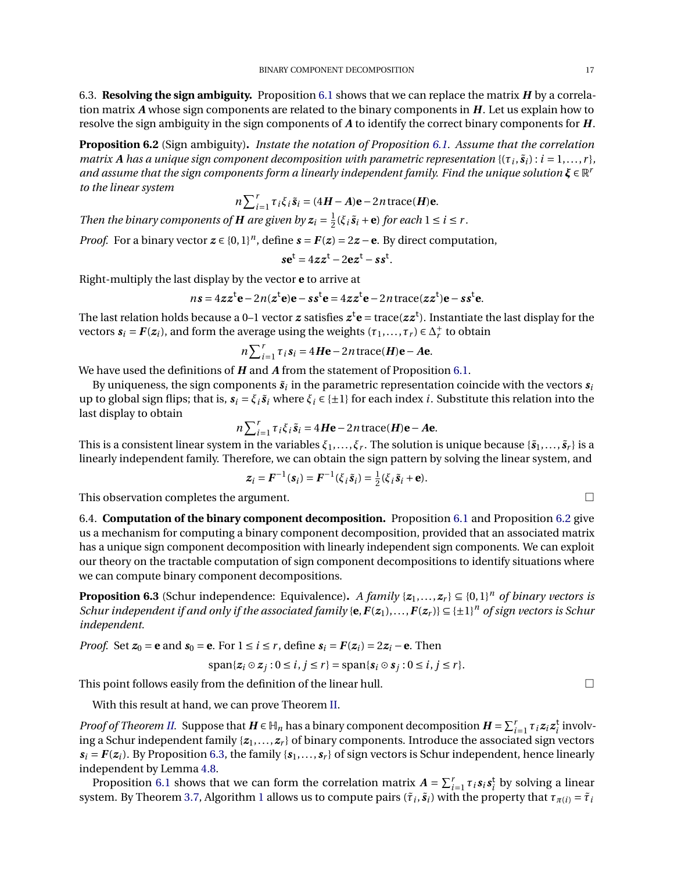6.3. **Resolving the sign ambiguity.** Proposition [6.1](#page-15-3) shows that we can replace the matrix *H* by a correlation matrix *A* whose sign components are related to the binary components in *H*. Let us explain how to resolve the sign ambiguity in the sign components of *A* to identify the correct binary components for *H*.

<span id="page-16-2"></span>**Proposition 6.2** (Sign ambiguity)**.** *Instate the notation of Proposition [6.1.](#page-15-3) Assume that the correlation matrix* A has a unique sign component decomposition with parametric representation { $(\tau_i, \tilde{s}_i)$  :  $i = 1, ..., r$ }, *and assume that the sign components form a linearly independent family. Find the unique solution ξ* ∈ R *r to the linear system*

$$
n\sum_{i=1}^r \tau_i \xi_i \tilde{\mathbf{s}}_i = (4\mathbf{H} - \mathbf{A})\mathbf{e} - 2n \operatorname{trace}(\mathbf{H})\mathbf{e}.
$$

*Then the binary components of H are given by*  $z_i = \frac{1}{2}$  $\frac{1}{2}(\xi_i \tilde{s}_i + \mathbf{e})$  for each  $1 \le i \le r$ .

*Proof.* For a binary vector  $z \in \{0,1\}^n$ , define  $s = F(z) = 2z - e$ . By direct computation,

$$
s\mathbf{e}^t = 4zz^t - 2\mathbf{e}z^t - s s^t.
$$

Right-multiply the last display by the vector **e** to arrive at

$$
ns = 4zz^{\dagger}e - 2n(z^{\dagger}e)e - ss^{\dagger}e = 4zz^{\dagger}e - 2n\,\text{trace}(zz^{\dagger})e - ss^{\dagger}e.
$$

The last relation holds because a 0–1 vector  $z$  satisfies  $z^t\mathbf{e}$  = trace( $zz^t$ ). Instantiate the last display for the vectors  $s_i = F(z_i)$ , and form the average using the weights  $(\tau_1, \ldots, \tau_r) \in \Delta_r^+$  $r<sub>r</sub><sup>+</sup>$  to obtain

$$
n\sum_{i=1}^r \tau_i s_i = 4H\mathbf{e} - 2n\operatorname{trace}(\mathbf{H})\mathbf{e} - \mathbf{A}\mathbf{e}.
$$

We have used the definitions of *H* and *A* from the statement of Proposition [6.1.](#page-15-3)

By uniqueness, the sign components  $\tilde{\bm{s}}_i$  in the parametric representation coincide with the vectors  $\bm{s}_i$ up to global sign flips; that is,  $s_i = \xi_i \tilde{s}_i$  where  $\xi_i \in \{\pm 1\}$  for each index *i*. Substitute this relation into the last display to obtain

$$
n\sum_{i=1}^{r} \tau_i \xi_i \tilde{\mathbf{s}}_i = 4H\mathbf{e} - 2n \operatorname{trace}(\mathbf{H})\mathbf{e} - A\mathbf{e}.
$$

This is a consistent linear system in the variables  $\xi_1,\ldots,\xi_r.$  The solution is unique because  $\{\tilde{s}_1,\ldots,\tilde{s}_r\}$  is a linearly independent family. Therefore, we can obtain the sign pattern by solving the linear system, and

$$
\boldsymbol{z}_i = \boldsymbol{F}^{-1}(\boldsymbol{s}_i) = \boldsymbol{F}^{-1}(\boldsymbol{\xi}_i \, \tilde{\boldsymbol{s}}_i) = \frac{1}{2}(\boldsymbol{\xi}_i \, \tilde{\boldsymbol{s}}_i + \mathbf{e}).
$$

This observation completes the argument.

<span id="page-16-1"></span>6.4. **Computation of the binary component decomposition.** Proposition [6.1](#page-15-3) and Proposition [6.2](#page-16-2) give us a mechanism for computing a binary component decomposition, provided that an associated matrix has a unique sign component decomposition with linearly independent sign components. We can exploit our theory on the tractable computation of sign component decompositions to identify situations where we can compute binary component decompositions.

<span id="page-16-0"></span>**Proposition 6.3** (Schur independence: Equivalence). *A family*  $\{z_1, \ldots, z_r\} \subseteq \{0,1\}^n$  *of binary vectors is Schur independent if and only if the associated family* { $e, F(z_1),...,F(z_r)$ }  $\subseteq$  { $\pm 1$ }<sup>n</sup> *of sign vectors is Schur independent.*

*Proof.* Set  $z_0 = e$  and  $s_0 = e$ . For  $1 \le i \le r$ , define  $s_i = F(z_i) = 2z_i - e$ . Then

$$
\mathrm{span}\{z_i\odot z_j:0\leq i,j\leq r\}=\mathrm{span}\{s_i\odot s_j:0\leq i,j\leq r\}.
$$

This point follows easily from the definition of the linear hull.  $\Box$ 

With this result at hand, we can prove Theorem [II.](#page-4-6)

*Proof of Theorem [II.](#page-4-6)* Suppose that  $H \in \mathbb{H}_n$  has a binary component decomposition  $H = \sum_{i=1}^r \tau_i z_i z_i^t$  involving a Schur independent family  $\{z_1, \ldots, z_r\}$  of binary components. Introduce the associated sign vectors  $s_i = F(z_i)$ . By Proposition [6.3,](#page-16-0) the family  $\{s_1, \ldots, s_r\}$  of sign vectors is Schur independent, hence linearly independent by Lemma [4.8.](#page-11-0)

Proposition [6.1](#page-15-3) shows that we can form the correlation matrix  $A = \sum_{i=1}^{r} \tau_i s_i s_i^t$  by solving a linear system. By Theorem [3.7,](#page-9-0) Algorithm [1](#page-3-1) allows us to compute pairs  $(\tilde\tau_i,\tilde s_i)$  with the property that  $\tau_{\pi(i)}=\tilde\tau_i$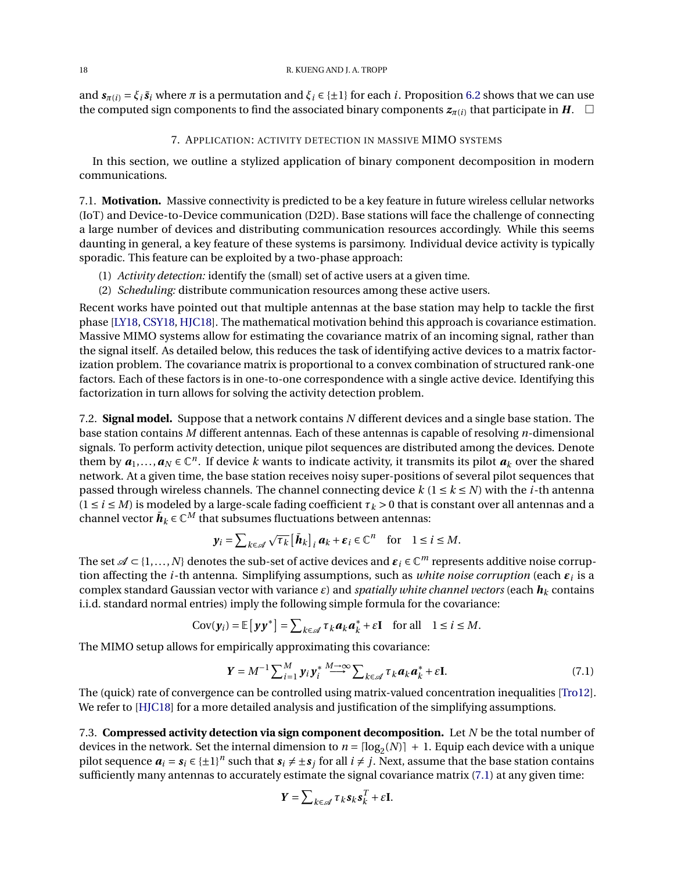and  $s_{\pi(i)} = \xi_i \tilde{s}_i$  where  $\pi$  is a permutation and  $\xi_i \in \{\pm 1\}$  for each *i*. Proposition [6.2](#page-16-2) shows that we can use the computed sign components to find the associated binary components  $z_{\pi(i)}$  that participate in *H*.  $\Box$ 

## 7. APPLICATION: ACTIVITY DETECTION IN MASSIVE MIMO SYSTEMS

<span id="page-17-0"></span>In this section, we outline a stylized application of binary component decomposition in modern communications.

7.1. **Motivation.** Massive connectivity is predicted to be a key feature in future wireless cellular networks (IoT) and Device-to-Device communication (D2D). Base stations will face the challenge of connecting a large number of devices and distributing communication resources accordingly. While this seems daunting in general, a key feature of these systems is parsimony. Individual device activity is typically sporadic. This feature can be exploited by a two-phase approach:

- (1) *Activity detection:* identify the (small) set of active users at a given time.
- (2) *Scheduling:* distribute communication resources among these active users.

Recent works have pointed out that multiple antennas at the base station may help to tackle the first phase [\[LY18,](#page-23-13) [CSY18,](#page-23-14) [HJC18\]](#page-23-15). The mathematical motivation behind this approach is covariance estimation. Massive MIMO systems allow for estimating the covariance matrix of an incoming signal, rather than the signal itself. As detailed below, this reduces the task of identifying active devices to a matrix factorization problem. The covariance matrix is proportional to a convex combination of structured rank-one factors. Each of these factors is in one-to-one correspondence with a single active device. Identifying this factorization in turn allows for solving the activity detection problem.

7.2. **Signal model.** Suppose that a network contains *N* different devices and a single base station. The base station contains *M* different antennas. Each of these antennas is capable of resolving *n*-dimensional signals. To perform activity detection, unique pilot sequences are distributed among the devices. Denote them by  $a_1,...,a_N \in \mathbb{C}^n$ . If device *k* wants to indicate activity, it transmits its pilot  $a_k$  over the shared network. At a given time, the base station receives noisy super-positions of several pilot sequences that passed through wireless channels. The channel connecting device  $k$  ( $1 \le k \le N$ ) with the *i*-th antenna  $(1 \le i \le M)$  is modeled by a large-scale fading coefficient  $\tau_k > 0$  that is constant over all antennas and a channel vector  $\bar{\bm{h}}_k \! \in \! \mathbb{C}^{M}$  that subsumes fluctuations between antennas:

$$
\mathbf{y}_i = \sum_{k \in \mathcal{A}} \sqrt{\tau_k} \left[ \bar{\boldsymbol{h}}_k \right]_i \boldsymbol{a}_k + \boldsymbol{\varepsilon}_i \in \mathbb{C}^n \quad \text{for} \quad 1 \leq i \leq M.
$$

The set  $\mathscr{A} \subset \{1,\ldots,N\}$  denotes the sub-set of active devices and  $\bm{\varepsilon}_i\in\mathbb{C}^m$  represents additive noise corruption affecting the *i*-th antenna. Simplifying assumptions, such as *white noise corruption* (each *ε<sup>i</sup>* is a complex standard Gaussian vector with variance *ε*) and *spatially white channel vectors* (each *h<sup>k</sup>* contains i.i.d. standard normal entries) imply the following simple formula for the covariance:

$$
Cov(\mathbf{y}_i) = \mathbb{E}\left[\mathbf{y}\mathbf{y}^*\right] = \sum_{k \in \mathcal{A}} \tau_k \mathbf{a}_k \mathbf{a}_k^* + \varepsilon \mathbf{I} \quad \text{for all} \quad 1 \leq i \leq M.
$$

The MIMO setup allows for empirically approximating this covariance:

$$
\mathbf{Y} = M^{-1} \sum_{i=1}^{M} \mathbf{y}_i \mathbf{y}_i^* \stackrel{M \to \infty}{\longrightarrow} \sum_{k \in \mathcal{A}} \tau_k \mathbf{a}_k \mathbf{a}_k^* + \varepsilon \mathbf{I}.
$$
 (7.1)

The (quick) rate of convergence can be controlled using matrix-valued concentration inequalities [\[Tro12\]](#page-24-4). We refer to [\[HJC18\]](#page-23-15) for a more detailed analysis and justification of the simplifying assumptions.

7.3. **Compressed activity detection via sign component decomposition.** Let *N* be the total number of devices in the network. Set the internal dimension to  $n = \lfloor \log_2(N) \rfloor + 1$ . Equip each device with a unique pilot sequence  $a_i = s_i \in \{\pm 1\}^n$  such that  $s_i \neq \pm s_j$  for all  $i \neq j$ . Next, assume that the base station contains sufficiently many antennas to accurately estimate the signal covariance matrix [\(7.1\)](#page-17-1) at any given time:

<span id="page-17-1"></span>
$$
\boldsymbol{Y} = \sum_{k \in \mathcal{A}} \boldsymbol{\tau}_k \boldsymbol{s}_k \boldsymbol{s}_k^T + \boldsymbol{\varepsilon} \mathbf{I}.
$$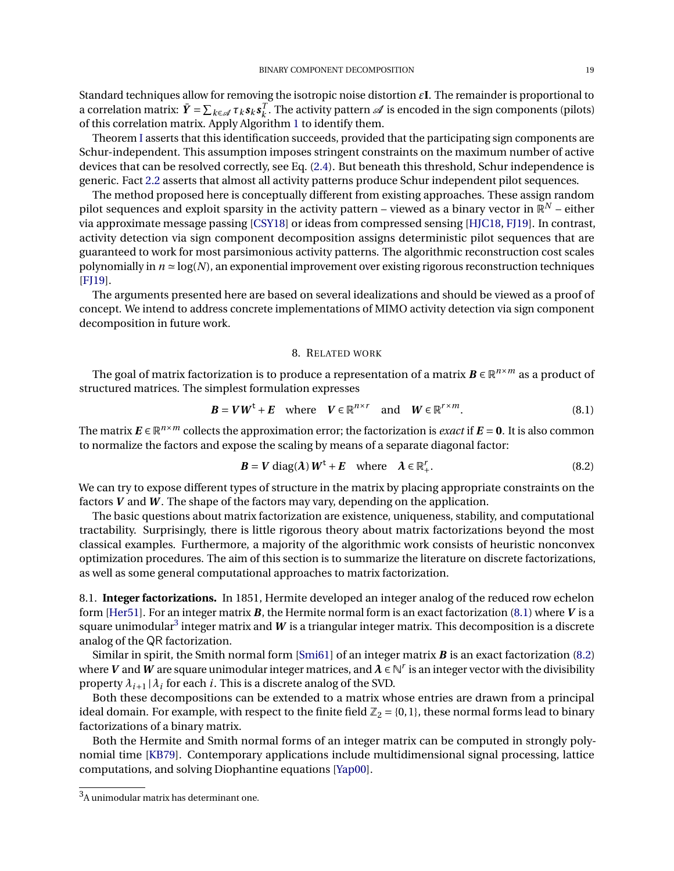Standard techniques allow for removing the isotropic noise distortion *ε***I**. The remainder is proportional to a correlation matrix:  $\bar{\bm{Y}} = \sum_{k \in \mathscr{A}} \tau_k \bm{s}_k \bm{s}_k^T$  $\frac{1}{k}$ . The activity pattern  $\mathscr A$  is encoded in the sign components (pilots) of this correlation matrix. Apply Algorithm [1](#page-3-1) to identify them.

Theorem [I](#page-3-2) asserts that this identification succeeds, provided that the participating sign components are Schur-independent. This assumption imposes stringent constraints on the maximum number of active devices that can be resolved correctly, see Eq. [\(2.4\)](#page-2-5). But beneath this threshold, Schur independence is generic. Fact [2.2](#page-3-3) asserts that almost all activity patterns produce Schur independent pilot sequences.

The method proposed here is conceptually different from existing approaches. These assign random pilot sequences and exploit sparsity in the activity pattern – viewed as a binary vector in  $\mathbb{R}^N$  – either via approximate message passing [\[CSY18\]](#page-23-14) or ideas from compressed sensing [\[HJC18,](#page-23-15) [FJ19\]](#page-23-16). In contrast, activity detection via sign component decomposition assigns deterministic pilot sequences that are guaranteed to work for most parsimonious activity patterns. The algorithmic reconstruction cost scales polynomially in  $n \approx log(N)$ , an exponential improvement over existing rigorous reconstruction techniques [\[FJ19\]](#page-23-16).

The arguments presented here are based on several idealizations and should be viewed as a proof of concept. We intend to address concrete implementations of MIMO activity detection via sign component decomposition in future work.

#### <span id="page-18-2"></span><span id="page-18-1"></span>8. RELATED WORK

<span id="page-18-0"></span>The goal of matrix factorization is to produce a representation of a matrix  $\bm{B}\in\mathbb{R}^{n\times m}$  as a product of structured matrices. The simplest formulation expresses

$$
\boldsymbol{B} = \boldsymbol{V}\boldsymbol{W}^{\mathrm{t}} + \boldsymbol{E} \quad \text{where} \quad \boldsymbol{V} \in \mathbb{R}^{n \times r} \quad \text{and} \quad \boldsymbol{W} \in \mathbb{R}^{r \times m}.
$$

The matrix  $E \in \mathbb{R}^{n \times m}$  collects the approximation error; the factorization is *exact* if  $E = 0$ . It is also common to normalize the factors and expose the scaling by means of a separate diagonal factor:

$$
\mathbf{B} = \mathbf{V} \operatorname{diag}(\boldsymbol{\lambda}) \mathbf{W}^{\mathrm{t}} + \mathbf{E} \quad \text{where} \quad \boldsymbol{\lambda} \in \mathbb{R}_+^r. \tag{8.2}
$$

We can try to expose different types of structure in the matrix by placing appropriate constraints on the factors *V* and *W* . The shape of the factors may vary, depending on the application.

The basic questions about matrix factorization are existence, uniqueness, stability, and computational tractability. Surprisingly, there is little rigorous theory about matrix factorizations beyond the most classical examples. Furthermore, a majority of the algorithmic work consists of heuristic nonconvex optimization procedures. The aim of this section is to summarize the literature on discrete factorizations, as well as some general computational approaches to matrix factorization.

8.1. **Integer factorizations.** In 1851, Hermite developed an integer analog of the reduced row echelon form [\[Her51\]](#page-23-17). For an integer matrix *B*, the Hermite normal form is an exact factorization [\(8.1\)](#page-18-1) where *V* is a square unimodular $^3$  $^3$  integer matrix and  $\pmb{W}$  is a triangular integer matrix. This decomposition is a discrete analog of the QR factorization.

Similar in spirit, the Smith normal form [\[Smi61\]](#page-24-5) of an integer matrix *B* is an exact factorization [\(8.2\)](#page-18-2) where  $V$  and  $W$  are square unimodular integer matrices, and  $\lambda\in\mathbb{N}^r$  is an integer vector with the divisibility property  $\lambda_{i+1} | \lambda_i$  for each *i*. This is a discrete analog of the SVD.

Both these decompositions can be extended to a matrix whose entries are drawn from a principal ideal domain. For example, with respect to the finite field  $\mathbb{Z}_2 = \{0,1\}$ , these normal forms lead to binary factorizations of a binary matrix.

Both the Hermite and Smith normal forms of an integer matrix can be computed in strongly polynomial time [\[KB79\]](#page-23-18). Contemporary applications include multidimensional signal processing, lattice computations, and solving Diophantine equations [\[Yap00\]](#page-24-6).

 ${\rm ^3A}$  unimodular matrix has determinant one.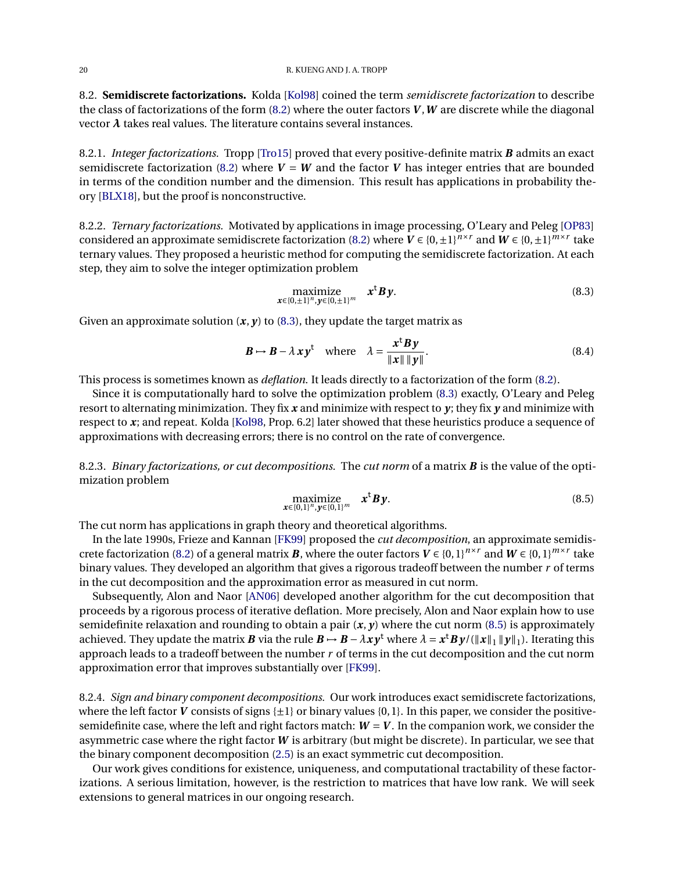8.2. **Semidiscrete factorizations.** Kolda [\[Kol98\]](#page-23-19) coined the term *semidiscrete factorization* to describe the class of factorizations of the form [\(8.2\)](#page-18-2) where the outer factors *V* ,*W* are discrete while the diagonal vector  $\lambda$  takes real values. The literature contains several instances.

8.2.1. *Integer factorizations.* Tropp [\[Tro15\]](#page-24-7) proved that every positive-definite matrix *B* admits an exact semidiscrete factorization [\(8.2\)](#page-18-2) where  $V = W$  and the factor *V* has integer entries that are bounded in terms of the condition number and the dimension. This result has applications in probability theory [\[BLX18\]](#page-23-20), but the proof is nonconstructive.

8.2.2. *Ternary factorizations.* Motivated by applications in image processing, O'Leary and Peleg [\[OP83\]](#page-23-21) considered an approximate semidiscrete factorization [\(8.2\)](#page-18-2) where  $V \in \{0, \pm 1\}^{m \times r}$  and  $W \in \{0, \pm 1\}^{m \times r}$  take ternary values. They proposed a heuristic method for computing the semidiscrete factorization. At each step, they aim to solve the integer optimization problem

<span id="page-19-2"></span><span id="page-19-0"></span>
$$
\underset{\mathbf{x}\in\{0,\pm1\}^n,\mathbf{y}\in\{0,\pm1\}^m}{\text{maximize}} \quad \mathbf{x}^{\mathbf{t}}\mathbf{B}\mathbf{y}.\tag{8.3}
$$

Given an approximate solution  $(x, y)$  to [\(8.3\)](#page-19-0), they update the target matrix as

$$
\mathbf{B} \mapsto \mathbf{B} - \lambda \mathbf{x} \mathbf{y}^{\dagger} \quad \text{where} \quad \lambda = \frac{\mathbf{x}^{\dagger} \mathbf{B} \mathbf{y}}{\|\mathbf{x}\| \|\mathbf{y}\|}.
$$
 (8.4)

This process is sometimes known as *deflation*. It leads directly to a factorization of the form [\(8.2\)](#page-18-2).

Since it is computationally hard to solve the optimization problem [\(8.3\)](#page-19-0) exactly, O'Leary and Peleg resort to alternating minimization. They fix *x* and minimize with respect to *y*; they fix *y* and minimize with respect to *x*; and repeat. Kolda [\[Kol98,](#page-23-19) Prop. 6.2] later showed that these heuristics produce a sequence of approximations with decreasing errors; there is no control on the rate of convergence.

8.2.3. *Binary factorizations, or cut decompositions.* The *cut norm* of a matrix *B* is the value of the optimization problem

<span id="page-19-1"></span>
$$
\begin{array}{ll}\n\text{maximize} & x^t B y. \\
\text{x} \in \{0, 1\}^n, \text{y} \in \{0, 1\}^m\n\end{array} \tag{8.5}
$$

The cut norm has applications in graph theory and theoretical algorithms.

In the late 1990s, Frieze and Kannan [\[FK99\]](#page-23-7) proposed the *cut decomposition*, an approximate semidis-crete factorization [\(8.2\)](#page-18-2) of a general matrix *B*, where the outer factors  $V \in \{0,1\}^{n \times r}$  and  $W \in \{0,1\}^{m \times r}$  take binary values. They developed an algorithm that gives a rigorous tradeoff between the number *r* of terms in the cut decomposition and the approximation error as measured in cut norm.

Subsequently, Alon and Naor [\[AN06\]](#page-22-0) developed another algorithm for the cut decomposition that proceeds by a rigorous process of iterative deflation. More precisely, Alon and Naor explain how to use semidefinite relaxation and rounding to obtain a pair  $(x, y)$  where the cut norm [\(8.5\)](#page-19-1) is approximately achieved. They update the matrix  $B$  via the rule  $B\mapsto B-\lambda xy^{\rm t}$  where  $\lambda=x^{\rm t}By/(\|x\|_1\|y\|_1).$  Iterating this approach leads to a tradeoff between the number *r* of terms in the cut decomposition and the cut norm approximation error that improves substantially over [\[FK99\]](#page-23-7).

8.2.4. *Sign and binary component decompositions.* Our work introduces exact semidiscrete factorizations, where the left factor *V* consists of signs  $\{\pm 1\}$  or binary values  $\{0,1\}$ . In this paper, we consider the positivesemidefinite case, where the left and right factors match:  $W = V$ . In the companion work, we consider the asymmetric case where the right factor *W* is arbitrary (but might be discrete). In particular, we see that the binary component decomposition [\(2.5\)](#page-4-1) is an exact symmetric cut decomposition.

Our work gives conditions for existence, uniqueness, and computational tractability of these factorizations. A serious limitation, however, is the restriction to matrices that have low rank. We will seek extensions to general matrices in our ongoing research.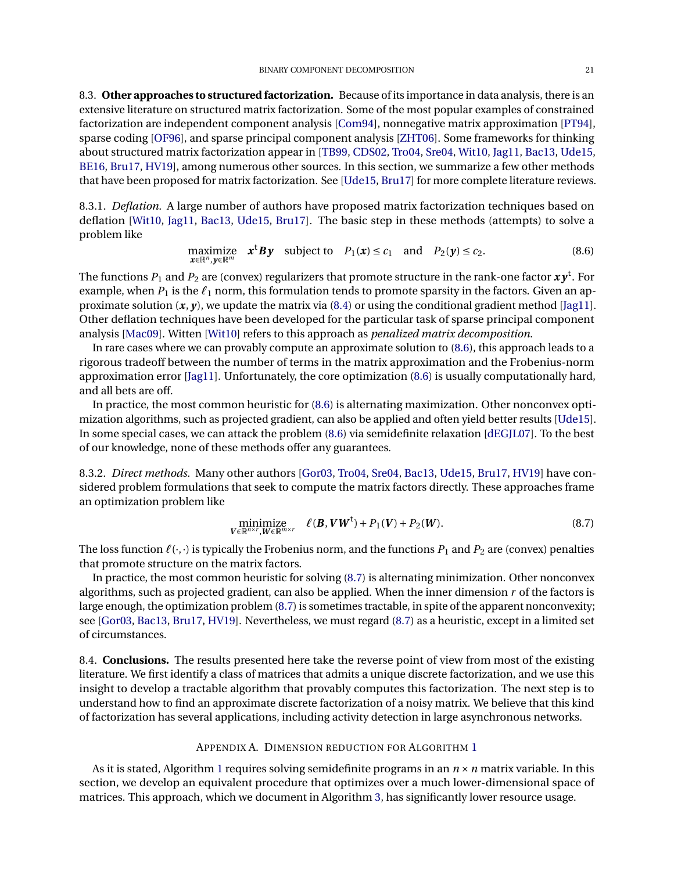8.3. **Other approaches to structured factorization.** Because of its importance in data analysis, there is an extensive literature on structured matrix factorization. Some of the most popular examples of constrained factorization are independent component analysis [\[Com94\]](#page-23-0), nonnegative matrix approximation [\[PT94\]](#page-23-1), sparse coding [\[OF96\]](#page-23-2), and sparse principal component analysis [\[ZHT06\]](#page-24-0). Some frameworks for thinking about structured matrix factorization appear in [\[TB99,](#page-24-8) [CDS02,](#page-23-22) [Tro04,](#page-24-9) [Sre04,](#page-24-10) [Wit10,](#page-24-11) [Jag11,](#page-23-23) [Bac13,](#page-22-2) [Ude15,](#page-24-12) [BE16,](#page-23-24) [Bru17,](#page-23-25) [HV19\]](#page-23-26), among numerous other sources. In this section, we summarize a few other methods that have been proposed for matrix factorization. See [\[Ude15,](#page-24-12) [Bru17\]](#page-23-25) for more complete literature reviews.

8.3.1. *Deflation.* A large number of authors have proposed matrix factorization techniques based on deflation [\[Wit10,](#page-24-11) [Jag11,](#page-23-23) [Bac13,](#page-22-2) [Ude15,](#page-24-12) [Bru17\]](#page-23-25). The basic step in these methods (attempts) to solve a problem like

<span id="page-20-0"></span>
$$
\underset{\mathbf{x}\in\mathbb{R}^n,\mathbf{y}\in\mathbb{R}^m}{\text{maximize}} \quad \mathbf{x}^{\mathsf{t}}\mathbf{B}\mathbf{y} \quad \text{subject to} \quad P_1(\mathbf{x}) \le c_1 \quad \text{and} \quad P_2(\mathbf{y}) \le c_2. \tag{8.6}
$$

The functions  $P_1$  and  $P_2$  are (convex) regularizers that promote structure in the rank-one factor  $\bm{xy}^\text{t}$ . For example, when  $P_1$  is the  $\ell_1$  norm, this formulation tends to promote sparsity in the factors. Given an approximate solution (*x*, *y*), we update the matrix via [\(8.4\)](#page-19-2) or using the conditional gradient method [\[Jag11\]](#page-23-23). Other deflation techniques have been developed for the particular task of sparse principal component analysis [\[Mac09\]](#page-23-27). Witten [\[Wit10\]](#page-24-11) refers to this approach as *penalized matrix decomposition*.

In rare cases where we can provably compute an approximate solution to [\(8.6\)](#page-20-0), this approach leads to a rigorous tradeoff between the number of terms in the matrix approximation and the Frobenius-norm approximation error [\[Jag11\]](#page-23-23). Unfortunately, the core optimization [\(8.6\)](#page-20-0) is usually computationally hard, and all bets are off.

In practice, the most common heuristic for [\(8.6\)](#page-20-0) is alternating maximization. Other nonconvex optimization algorithms, such as projected gradient, can also be applied and often yield better results [\[Ude15\]](#page-24-12). In some special cases, we can attack the problem [\(8.6\)](#page-20-0) via semidefinite relaxation [\[dEGJL07\]](#page-23-28). To the best of our knowledge, none of these methods offer any guarantees.

8.3.2. *Direct methods.* Many other authors [\[Gor03,](#page-23-29) [Tro04,](#page-24-9) [Sre04,](#page-24-10) [Bac13,](#page-22-2) [Ude15,](#page-24-12) [Bru17,](#page-23-25) [HV19\]](#page-23-26) have considered problem formulations that seek to compute the matrix factors directly. These approaches frame an optimization problem like

<span id="page-20-1"></span>
$$
\underset{\boldsymbol{V}\in\mathbb{R}^{n\times r},\boldsymbol{W}\in\mathbb{R}^{m\times r}}{\text{minimize}} \quad \ell(\boldsymbol{B},\boldsymbol{V}\boldsymbol{W}^{\mathrm{t}})+P_1(\boldsymbol{V})+P_2(\boldsymbol{W}).\tag{8.7}
$$

The loss function  $\ell(\cdot, \cdot)$  is typically the Frobenius norm, and the functions  $P_1$  and  $P_2$  are (convex) penalties that promote structure on the matrix factors.

In practice, the most common heuristic for solving [\(8.7\)](#page-20-1) is alternating minimization. Other nonconvex algorithms, such as projected gradient, can also be applied. When the inner dimension *r* of the factors is large enough, the optimization problem [\(8.7\)](#page-20-1) is sometimes tractable, in spite of the apparent nonconvexity; see [\[Gor03,](#page-23-29) [Bac13,](#page-22-2) [Bru17,](#page-23-25) [HV19\]](#page-23-26). Nevertheless, we must regard [\(8.7\)](#page-20-1) as a heuristic, except in a limited set of circumstances.

8.4. **Conclusions.** The results presented here take the reverse point of view from most of the existing literature. We first identify a class of matrices that admits a unique discrete factorization, and we use this insight to develop a tractable algorithm that provably computes this factorization. The next step is to understand how to find an approximate discrete factorization of a noisy matrix. We believe that this kind of factorization has several applications, including activity detection in large asynchronous networks.

## APPENDIX A. DIMENSION REDUCTION FOR ALGORITHM [1](#page-3-1)

As it is stated, Algorithm [1](#page-3-1) requires solving semidefinite programs in an *n* ×*n* matrix variable. In this section, we develop an equivalent procedure that optimizes over a much lower-dimensional space of matrices. This approach, which we document in Algorithm [3,](#page-22-3) has significantly lower resource usage.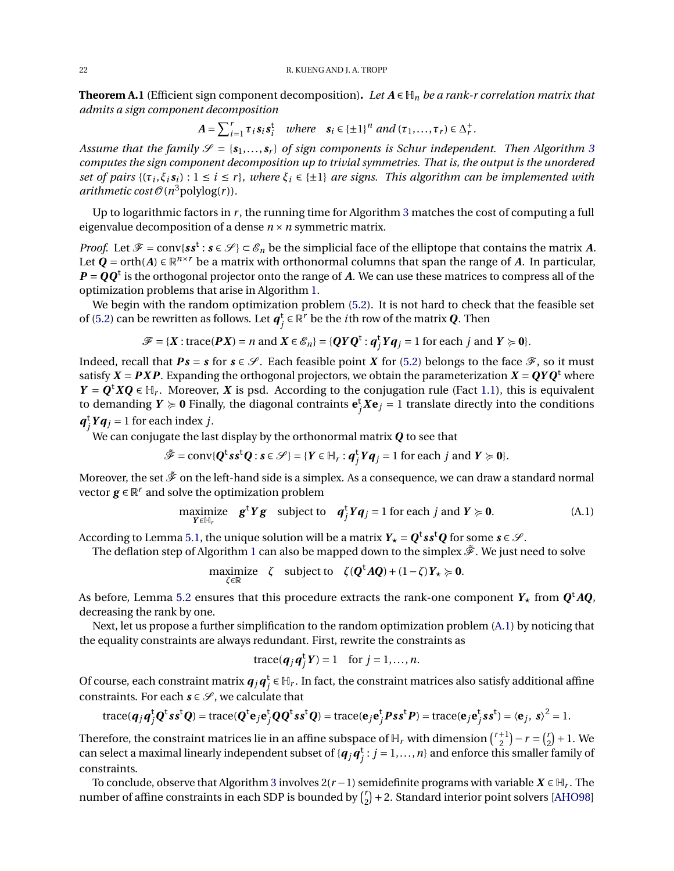<span id="page-21-1"></span>**Theorem A.1** (Efficient sign component decomposition). Let  $A \in H_n$  be a rank-r correlation matrix that *admits a sign component decomposition*

$$
A = \sum_{i=1}^{r} \tau_i s_i s_i^{\mathsf{t}} \quad where \quad s_i \in \{\pm 1\}^n \ and \ (\tau_1, \dots, \tau_r) \in \Delta_r^+.
$$

*Assume that the family*  $\mathcal{S} = \{s_1, \ldots, s_r\}$  of sign components is Schur independent. Then Algorithm [3](#page-22-3) *computes the sign component decomposition up to trivial symmetries. That is, the output is the unordered set of pairs*  $\{(\tau_i, \xi_i, s_i) : 1 \le i \le r\}$ , where  $\xi_i \in \{\pm 1\}$  are signs. This algorithm can be implemented with  $arithmetic cost \mathcal{O}(n^3$ polylog(*r*)).

Up to logarithmic factors in *r* , the running time for Algorithm [3](#page-22-3) matches the cost of computing a full eigenvalue decomposition of a dense *n* ×*n* symmetric matrix.

*Proof.* Let  $\mathcal{F} = \text{conv}\{ss^t : s \in \mathcal{S}\} \subset \mathcal{E}_n$  be the simplicial face of the elliptope that contains the matrix A. Let  $\mathbf{Q} = \text{orth}(A) \in \mathbb{R}^{n \times r}$  be a matrix with orthonormal columns that span the range of *A*. In particular,  $P = QQ<sup>t</sup>$  is the orthogonal projector onto the range of *A*. We can use these matrices to compress all of the optimization problems that arise in Algorithm [1.](#page-3-1)

We begin with the random optimization problem [\(5.2\)](#page-14-2). It is not hard to check that the feasible set of [\(5.2\)](#page-14-2) can be rewritten as follows. Let  $\bm{q}_j^{\text{t}} \in \mathbb{R}^r$  be the *i*th row of the matrix  $\bm{Q}$ . Then

$$
\mathcal{F} = \{X : \text{trace}(\mathbf{P}X) = n \text{ and } X \in \mathcal{E}_n\} = \{ \mathbf{Q}Y\mathbf{Q}^{\mathsf{t}} : \mathbf{q}_j^{\mathsf{t}} Y\mathbf{q}_j = 1 \text{ for each } j \text{ and } Y \succcurlyeq 0 \}.
$$

Indeed, recall that  $Ps = s$  for  $s \in \mathcal{S}$ . Each feasible point *X* for [\(5.2\)](#page-14-2) belongs to the face  $\mathcal{F}$ , so it must satisfy  $X = PXP$ . Expanding the orthogonal projectors, we obtain the parameterization  $X = QYQ^t$  where *Y* =  $Q$ <sup>t</sup>*X* $Q$  ∈  $H$ <sub>*r*</sub>. Moreover, *X* is psd. According to the conjugation rule (Fact [1.1\)](#page-1-1), this is equivalent to demanding  $Y \succcurlyeq 0$  Finally, the diagonal contraints  $e_j^t X e_j = 1$  translate directly into the conditions  $q_j^t Y q_j = 1$  for each index *j*.

We can conjugate the last display by the orthonormal matrix *Q* to see that

$$
\tilde{\mathcal{F}} = \text{conv}\{Q^t s s^t Q : s \in \mathcal{S}\} = \{Y \in \mathbb{H}_r : q_j^t Y q_j = 1 \text{ for each } j \text{ and } Y \succcurlyeq 0\}.
$$

Moreover, the set  $\tilde{\mathcal{F}}$  on the left-hand side is a simplex. As a consequence, we can draw a standard normal vector  $g \in \mathbb{R}^r$  and solve the optimization problem

$$
\underset{Y \in \mathbb{H}_r}{\text{maximize}} \quad \mathbf{g}^{\mathbf{t}} Y \mathbf{g} \quad \text{subject to} \quad \mathbf{q}_j^{\mathbf{t}} Y \mathbf{q}_j = 1 \text{ for each } j \text{ and } Y \succcurlyeq \mathbf{0}. \tag{A.1}
$$

According to Lemma [5.1,](#page-13-1) the unique solution will be a matrix  $Y_\star = Q^\text{t} s s^\text{t} Q$  for some  $s\in\mathscr{S}.$ 

The deflation step of Algorithm [1](#page-3-1) can also be mapped down to the simplex  $\tilde{\mathscr{F}}$ . We just need to solve

 $\max_{\zeta \in \mathbb{R}}$   $\zeta$  subject to  $\zeta(\mathbf{Q}^{\mathsf{t}} A \mathbf{Q}) + (1 - \zeta) Y_{\star} \succcurlyeq \mathbf{0}.$ 

As before, Lemma [5.2](#page-13-2) ensures that this procedure extracts the rank-one component  $Y_\star$  from  $\bm{Q}^\mathrm t A \bm{Q}$ , decreasing the rank by one.

Next, let us propose a further simplification to the random optimization problem [\(A.1\)](#page-21-0) by noticing that the equality constraints are always redundant. First, rewrite the constraints as

<span id="page-21-0"></span>
$$
trace(\boldsymbol{q}_j\boldsymbol{q}_j^{\mathsf{t}}\boldsymbol{Y})=1 \quad \text{for } j=1,\ldots,n.
$$

Of course, each constraint matrix  $\bm{q}_j\bm{q}_j^t$   $\in$   $\mathbb{H}_r.$  In fact, the constraint matrices also satisfy additional affine constraints. For each  $s \in \mathcal{S}$ , we calculate that

$$
\text{trace}(\boldsymbol{q}_j\boldsymbol{q}_j^{\mathsf{t}}\boldsymbol{Q}^{\mathsf{t}}\boldsymbol{s}\boldsymbol{s}^{\mathsf{t}}\boldsymbol{Q}) = \text{trace}(\boldsymbol{Q}^{\mathsf{t}}\boldsymbol{e}_j\boldsymbol{e}_j^{\mathsf{t}}\boldsymbol{Q}\boldsymbol{Q}^{\mathsf{t}}\boldsymbol{s}\boldsymbol{s}^{\mathsf{t}}\boldsymbol{Q}) = \text{trace}(\boldsymbol{e}_j\boldsymbol{e}_j^{\mathsf{t}}\boldsymbol{P}\boldsymbol{s}\boldsymbol{s}^{\mathsf{t}}\boldsymbol{P}) = \text{trace}(\boldsymbol{e}_j\boldsymbol{e}_j^{\mathsf{t}}\boldsymbol{s}\boldsymbol{s}^{\mathsf{t}}) = \langle \boldsymbol{e}_j, \ \boldsymbol{s} \rangle^2 = 1.
$$

Therefore, the constraint matrices lie in an affine subspace of  $\mathbb{H}_r$  with dimension  $\binom{r+1}{2}$  $\binom{r+1}{2} - r = \binom{r}{2}$  $_{2}^{r}$  $+1.$  We can select a maximal linearly independent subset of  $\{q_j q_j^t : j = 1, \ldots, n\}$  and enforce this smaller family of constraints.

To conclude, observe that Algorithm [3](#page-22-3) involves 2(*r* −1) semidefinite programs with variable *X* ∈ H*<sup>r</sup>* . The number of affine constraints in each SDP is bounded by  $\binom{r}{2}$  $_{2}^{r}$ ) + 2. Standard interior point solvers [\[AHO98\]](#page-22-4)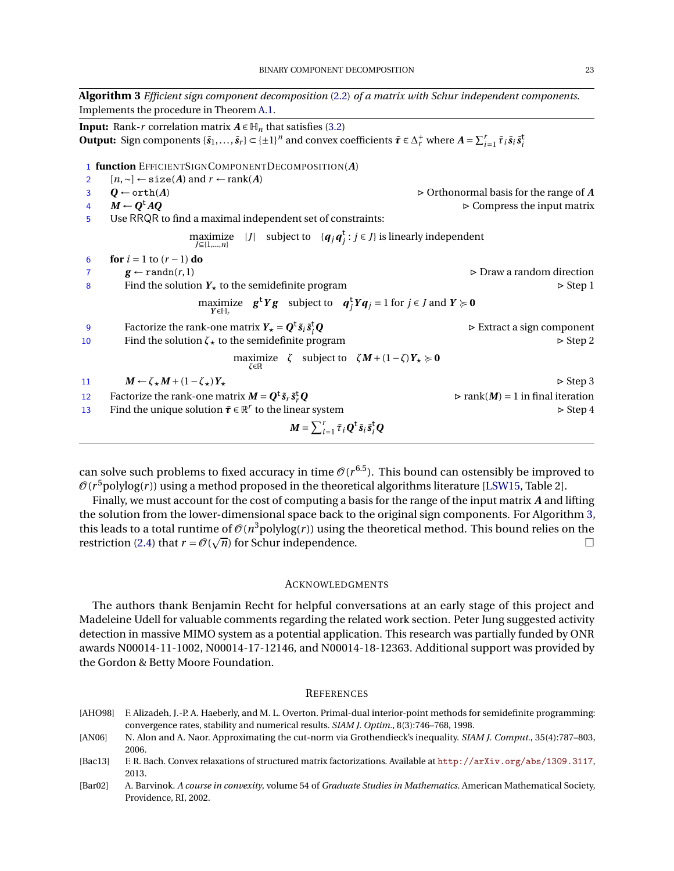<span id="page-22-3"></span>**Algorithm 3** *Efficient sign component decomposition* [\(2.2\)](#page-2-1) *of a matrix with Schur independent components*. Implements the procedure in Theorem [A.1.](#page-21-1)

**Input:** Rank-*r* correlation matrix  $A \in H_n$  that satisfies [\(3.2\)](#page-7-3) **Output:** Sign components  $\{\tilde{s}_1,\ldots,\tilde{s}_r\} \subset \{\pm 1\}^n$  and convex coefficients  $\tilde{\tau} \in \Delta_r^+$  where  $A = \sum_{i=1}^r \tilde{\tau}_i \tilde{s}_i \tilde{s}_i^+$ 1 **function** EFFICIENTSIGNCOMPONENTDECOMPOSITION(*A*) <sup>2</sup> [*n*,∼] ← size(*A*) and *r* ← rank(*A*) 3 **Q** ← orth(*A*)  $\triangleright$  Orthonormal basis for the range of *A* 4  $M \leftarrow Q^{\dagger} A Q$ **► Compress the input matrix** 5 Use RRQR to find a maximal independent set of constraints:  $\max_{J \subseteq \{1,\ldots,n\}}$   $|J|$  subject to  $\{q_j q_j^t : j \in J\}$  is linearly independent **6 for**  $i = 1$  to  $(r - 1)$  **do** 7 **g**  $\leftarrow$  randn(*r*, 1)  $\rightarrow$  Draw a random direction 8 Find the solution  $Y_{\star}$  to the semidefinite program  $\triangleright$  Step 1  $\max_{Y \in \mathbb{H}_r}$   $\mathbf{g}^t Y \mathbf{g}$  subject to  $\mathbf{q}_j^t Y \mathbf{q}_j = 1$  for  $j \in J$  and  $Y \succcurlyeq \mathbf{0}$ 9 Factorize the rank-one matrix  $Y_{\star} = Q^{\text{t}} \tilde{s}_i \tilde{s}_i^{\text{t}}$ *Q* . Extract a sign component 10 Find the solution  $\zeta_{\star}$  to the semidefinite program  $\triangleright$  Step 2  $\max_{\zeta \in \mathbb{R}}$   $\zeta$  subject to  $\zeta M + (1 - \zeta) Y_{\star} \succcurlyeq 0$ 11  $M \leftarrow \zeta_{\star} M + (1 - \zeta_{\star}) Y_{\star}$   $\triangleright$  Step 3 12 Factorize the rank-one matrix  $M = Q^t \tilde{s}_r \tilde{s}_r^t$  $\rhd$  rank(*M*) = 1 in final iteration<br> $\rhd$  Step 4 13 Find the unique solution  $\tilde{\tau} \in \mathbb{R}^r$  to the linear system  $\triangleright$  Step 4  $M = \sum_{i=1}^r \tilde{\tau}_i Q^{\text{t}} \tilde{s}_i \tilde{s}_i^{\text{t}} Q$ 

can solve such problems to fixed accuracy in time  $\mathcal{O}(r^{6.5})$ . This bound can ostensibly be improved to  $\mathscr{O}(r^5$ polylog $(r)$ ) using a method proposed in the theoretical algorithms literature [\[LSW15,](#page-23-30) Table 2].

Finally, we must account for the cost of computing a basis for the range of the input matrix *A* and lifting the solution from the lower-dimensional space back to the original sign components. For Algorithm [3,](#page-22-3) this leads to a total runtime of  $\mathcal{O}(n^3$ polylog(*r*)) using the theoretical method. This bound relies on the restriction [\(2.4\)](#page-2-5) that  $r = O(\sqrt{n})$  for Schur independence.

### **ACKNOWLEDGMENTS**

The authors thank Benjamin Recht for helpful conversations at an early stage of this project and Madeleine Udell for valuable comments regarding the related work section. Peter Jung suggested activity detection in massive MIMO system as a potential application. This research was partially funded by ONR awards N00014-11-1002, N00014-17-12146, and N00014-18-12363. Additional support was provided by the Gordon & Betty Moore Foundation.

#### **REFERENCES**

- <span id="page-22-4"></span>[AHO98] F. Alizadeh, J.-P. A. Haeberly, and M. L. Overton. Primal-dual interior-point methods for semidefinite programming: convergence rates, stability and numerical results. *SIAM J. Optim.*, 8(3):746–768, 1998.
- <span id="page-22-0"></span>[AN06] N. Alon and A. Naor. Approximating the cut-norm via Grothendieck's inequality. *SIAM J. Comput.*, 35(4):787–803, 2006.
- <span id="page-22-2"></span>[Bac13] F. R. Bach. Convex relaxations of structured matrix factorizations. Available at <http://arXiv.org/abs/1309.3117>, 2013.
- <span id="page-22-1"></span>[Bar02] A. Barvinok. *A course in convexity*, volume 54 of *Graduate Studies in Mathematics*. American Mathematical Society, Providence, RI, 2002.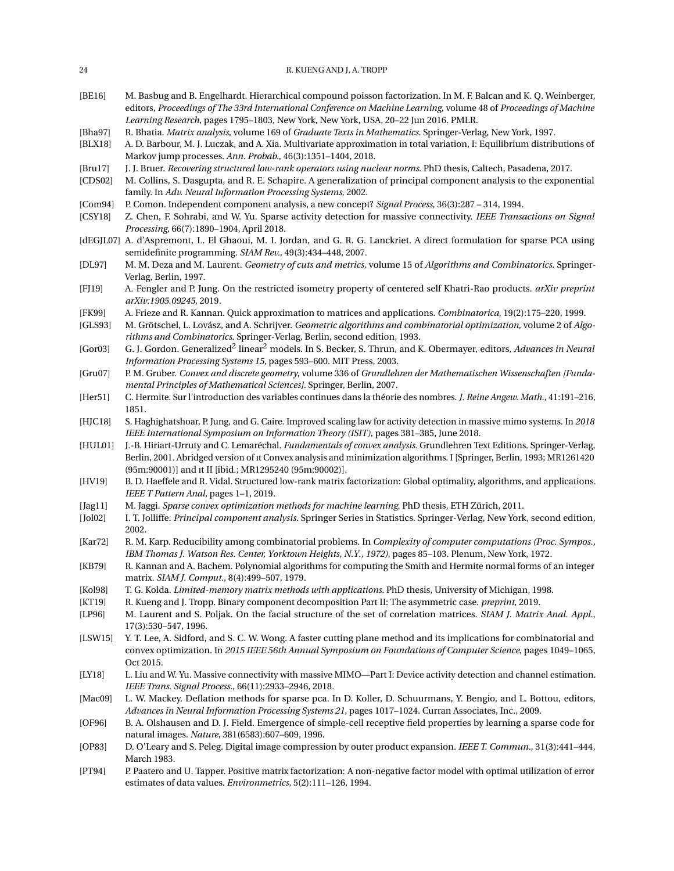<span id="page-23-30"></span><span id="page-23-29"></span><span id="page-23-28"></span><span id="page-23-27"></span><span id="page-23-26"></span><span id="page-23-25"></span><span id="page-23-24"></span><span id="page-23-23"></span><span id="page-23-22"></span><span id="page-23-21"></span><span id="page-23-20"></span><span id="page-23-19"></span><span id="page-23-18"></span><span id="page-23-17"></span><span id="page-23-16"></span><span id="page-23-15"></span><span id="page-23-14"></span><span id="page-23-13"></span><span id="page-23-12"></span><span id="page-23-11"></span><span id="page-23-10"></span><span id="page-23-9"></span><span id="page-23-8"></span><span id="page-23-7"></span><span id="page-23-6"></span><span id="page-23-5"></span><span id="page-23-4"></span><span id="page-23-3"></span><span id="page-23-2"></span><span id="page-23-1"></span><span id="page-23-0"></span>

| 24                            | R. KUENG AND J. A. TROPP                                                                                                                                                                                                                                                                                                    |
|-------------------------------|-----------------------------------------------------------------------------------------------------------------------------------------------------------------------------------------------------------------------------------------------------------------------------------------------------------------------------|
| [BE16]                        | M. Basbug and B. Engelhardt. Hierarchical compound poisson factorization. In M. F. Balcan and K. Q. Weinberger,<br>editors, Proceedings of The 33rd International Conference on Machine Learning, volume 48 of Proceedings of Machine<br>Learning Research, pages 1795-1803, New York, New York, USA, 20-22 Jun 2016. PMLR. |
| [Bha97]<br>[BLX18]            | R. Bhatia. Matrix analysis, volume 169 of Graduate Texts in Mathematics. Springer-Verlag, New York, 1997.<br>A. D. Barbour, M. J. Luczak, and A. Xia. Multivariate approximation in total variation, I: Equilibrium distributions of<br>Markov jump processes. Ann. Probab., 46(3):1351-1404, 2018.                         |
| [Brul7]<br>[CDS02]            | J. J. Bruer. Recovering structured low-rank operators using nuclear norms. PhD thesis, Caltech, Pasadena, 2017.<br>M. Collins, S. Dasgupta, and R. E. Schapire. A generalization of principal component analysis to the exponential<br>family. In Adv. Neural Information Processing Systems, 2002.                         |
| [Com94]                       | P. Comon. Independent component analysis, a new concept? Signal Process, 36(3):287 - 314, 1994.                                                                                                                                                                                                                             |
| [CSY18]                       | Z. Chen, F. Sohrabi, and W. Yu. Sparse activity detection for massive connectivity. IEEE Transactions on Signal<br>Processing, 66(7):1890-1904, April 2018.                                                                                                                                                                 |
|                               | [dEGJL07] A. d'Aspremont, L. El Ghaoui, M. I. Jordan, and G. R. G. Lanckriet. A direct formulation for sparse PCA using<br>semidefinite programming. SIAM Rev., 49(3):434-448, 2007.                                                                                                                                        |
| [DL97]                        | M. M. Deza and M. Laurent. Geometry of cuts and metrics, volume 15 of Algorithms and Combinatorics. Springer-<br>Verlag, Berlin, 1997.                                                                                                                                                                                      |
| [FJ19]                        | A. Fengler and P. Jung. On the restricted isometry property of centered self Khatri-Rao products. arXiv preprint<br>arXiv:1905.09245, 2019.                                                                                                                                                                                 |
| [FK99]<br>[GLS93]             | A. Frieze and R. Kannan. Quick approximation to matrices and applications. Combinatorica, 19(2):175-220, 1999.<br>M. Grötschel, L. Lovász, and A. Schrijver. Geometric algorithms and combinatorial optimization, volume 2 of Algo-<br>rithms and Combinatorics. Springer-Verlag, Berlin, second edition, 1993.             |
| [Gor03]                       | G. J. Gordon. Generalized <sup>2</sup> linear <sup>2</sup> models. In S. Becker, S. Thrun, and K. Obermayer, editors, Advances in Neural<br>Information Processing Systems 15, pages 593-600. MIT Press, 2003.                                                                                                              |
| [Gru07]                       | P. M. Gruber. Convex and discrete geometry, volume 336 of Grundlehren der Mathematischen Wissenschaften [Funda-<br>mental Principles of Mathematical Sciences]. Springer, Berlin, 2007.                                                                                                                                     |
| [Her51]                       | C. Hermite. Sur l'introduction des variables continues dans la théorie des nombres. J. Reine Angew. Math., 41:191-216,<br>1851.                                                                                                                                                                                             |
| [H]C18]                       | S. Haghighatshoar, P. Jung, and G. Caire. Improved scaling law for activity detection in massive mimo systems. In 2018<br>IEEE International Symposium on Information Theory (ISIT), pages 381-385, June 2018.                                                                                                              |
| [HUL01]                       | J.-B. Hiriart-Urruty and C. Lemaréchal. Fundamentals of convex analysis. Grundlehren Text Editions. Springer-Verlag,<br>Berlin, 2001. Abridged version of it Convex analysis and minimization algorithms. I [Springer, Berlin, 1993; MR1261420<br>(95m:90001)] and it II [ibid.; MR1295240 (95m:90002)].                    |
| [HV19]                        | B. D. Haeffele and R. Vidal. Structured low-rank matrix factorization: Global optimality, algorithms, and applications.<br>IEEE T Pattern Anal, pages 1-1, 2019.                                                                                                                                                            |
| [Jag11]                       | M. Jaggi. Sparse convex optimization methods for machine learning. PhD thesis, ETH Zürich, 2011.                                                                                                                                                                                                                            |
| [Jol02]                       | I. T. Jolliffe. Principal component analysis. Springer Series in Statistics. Springer-Verlag, New York, second edition,<br>2002.                                                                                                                                                                                            |
| $\left[ \text{Kar}72 \right]$ | R. M. Karp. Reducibility among combinatorial problems. In Complexity of computer computations (Proc. Sympos.,<br>IBM Thomas J. Watson Res. Center, Yorktown Heights, N.Y., 1972), pages 85-103. Plenum, New York, 1972.                                                                                                     |
| [KB79]                        | R. Kannan and A. Bachem. Polynomial algorithms for computing the Smith and Hermite normal forms of an integer<br>matrix. SIAM J. Comput., 8(4):499-507, 1979.                                                                                                                                                               |
| [Kol98]                       | T. G. Kolda. Limited-memory matrix methods with applications. PhD thesis, University of Michigan, 1998.                                                                                                                                                                                                                     |
| [KT19]<br>[LP96]              | R. Kueng and J. Tropp. Binary component decomposition Part II: The asymmetric case. preprint, 2019.<br>M. Laurent and S. Poljak. On the facial structure of the set of correlation matrices. SIAM J. Matrix Anal. Appl.,                                                                                                    |
| [LSW15]                       | 17(3):530-547, 1996.<br>Y. T. Lee, A. Sidford, and S. C. W. Wong. A faster cutting plane method and its implications for combinatorial and                                                                                                                                                                                  |
|                               | convex optimization. In 2015 IEEE 56th Annual Symposium on Foundations of Computer Science, pages 1049-1065,<br>Oct 2015.                                                                                                                                                                                                   |
| [LY18]                        | L. Liu and W. Yu. Massive connectivity with massive MIMO—Part I: Device activity detection and channel estimation.<br>IEEE Trans. Signal Process., 66(11):2933-2946, 2018.                                                                                                                                                  |
| [Mac09]                       | L. W. Mackey. Deflation methods for sparse pca. In D. Koller, D. Schuurmans, Y. Bengio, and L. Bottou, editors,<br>Advances in Neural Information Processing Systems 21, pages 1017-1024. Curran Associates, Inc., 2009.                                                                                                    |
| [OF96]                        | B. A. Olshausen and D. J. Field. Emergence of simple-cell receptive field properties by learning a sparse code for<br>natural images. Nature, 381(6583):607-609, 1996.                                                                                                                                                      |
| [OP83]                        | D. O'Leary and S. Peleg. Digital image compression by outer product expansion. IEEE T. Commun., 31(3):441-444,<br>March 1983.                                                                                                                                                                                               |
| [PT94]                        | P. Paatero and U. Tapper. Positive matrix factorization: A non-negative factor model with optimal utilization of error<br>estimates of data values. Environmetrics, 5(2):111-126, 1994.                                                                                                                                     |